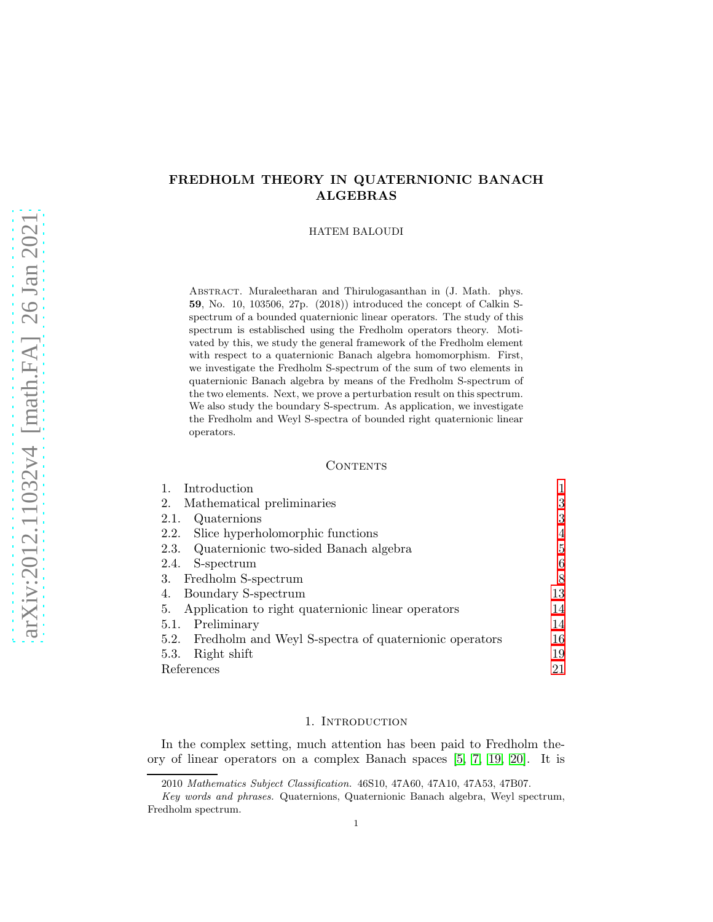# FREDHOLM THEORY IN QUATERNIONIC BANACH ALGEBRAS

HATEM BALOUDI

Abstract. Muraleetharan and Thirulogasanthan in (J. Math. phys. 59, No. 10, 103506, 27p. (2018)) introduced the concept of Calkin Sspectrum of a bounded quaternionic linear operators. The study of this spectrum is establisched using the Fredholm operators theory. Motivated by this, we study the general framework of the Fredholm element with respect to a quaternionic Banach algebra homomorphism. First, we investigate the Fredholm S-spectrum of the sum of two elements in quaternionic Banach algebra by means of the Fredholm S-spectrum of the two elements. Next, we prove a perturbation result on this spectrum. We also study the boundary S-spectrum. As application, we investigate the Fredholm and Weyl S-spectra of bounded right quaternionic linear operators.

### **CONTENTS**

| Introduction                                               |    |
|------------------------------------------------------------|----|
| Mathematical preliminaries<br>2.                           | 3  |
| Quaternions<br>2.1.                                        | 3  |
| Slice hyperholomorphic functions<br>2.2.                   | 4  |
| 2.3. Quaternionic two-sided Banach algebra                 | 5  |
| S-spectrum<br>2.4.                                         | 6  |
| Fredholm S-spectrum<br>3.                                  | 8  |
| Boundary S-spectrum<br>4.                                  | 13 |
| Application to right quaternionic linear operators<br>5.   | 14 |
| Preliminary<br>5.1.                                        | 14 |
| 5.2. Fredholm and Weyl S-spectra of quaternionic operators | 16 |
| Right shift<br>5.3.                                        | 19 |
| References                                                 | 21 |

### 1. INTRODUCTION

<span id="page-0-0"></span>In the complex setting, much attention has been paid to Fredholm theory of linear operators on a complex Banach spaces [\[5,](#page-20-1) [7,](#page-20-2) [19,](#page-20-3) [20\]](#page-20-4). It is

<sup>2010</sup> *Mathematics Subject Classification.* 46S10, 47A60, 47A10, 47A53, 47B07.

*Key words and phrases.* Quaternions, Quaternionic Banach algebra, Weyl spectrum, Fredholm spectrum.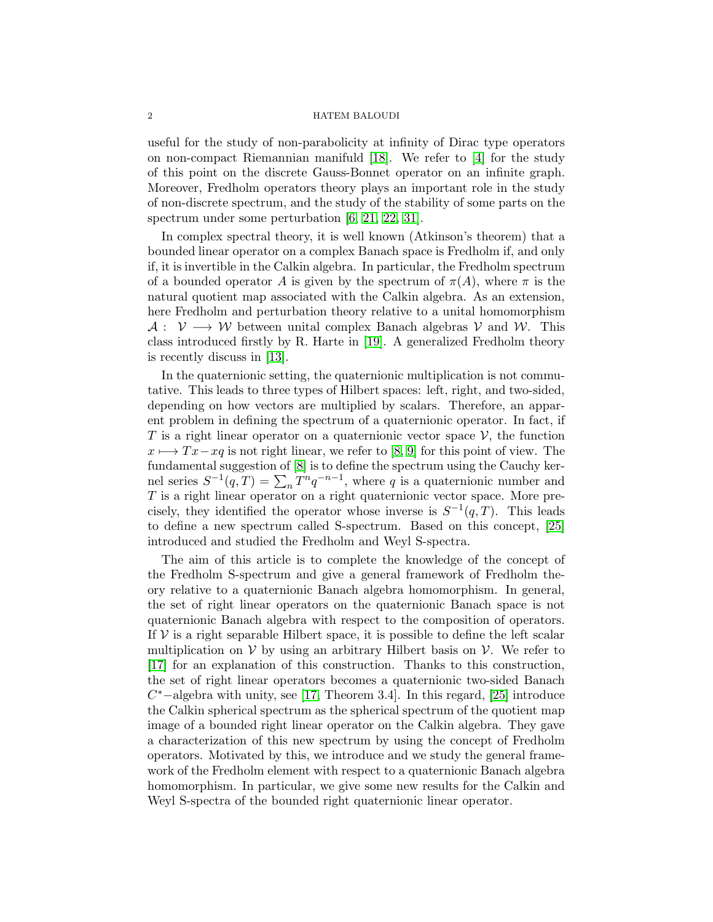#### 2 HATEM BALOUDI

useful for the study of non-parabolicity at infinity of Dirac type operators on non-compact Riemannian manifuld [\[18\]](#page-20-5). We refer to [\[4\]](#page-20-6) for the study of this point on the discrete Gauss-Bonnet operator on an infinite graph. Moreover, Fredholm operators theory plays an important role in the study of non-discrete spectrum, and the study of the stability of some parts on the spectrum under some perturbation [\[6,](#page-20-7) [21,](#page-20-8) [22,](#page-20-9) [31\]](#page-21-0).

In complex spectral theory, it is well known (Atkinson's theorem) that a bounded linear operator on a complex Banach space is Fredholm if, and only if, it is invertible in the Calkin algebra. In particular, the Fredholm spectrum of a bounded operator A is given by the spectrum of  $\pi(A)$ , where  $\pi$  is the natural quotient map associated with the Calkin algebra. As an extension, here Fredholm and perturbation theory relative to a unital homomorphism  $A: V \longrightarrow W$  between unital complex Banach algebras V and W. This class introduced firstly by R. Harte in [\[19\]](#page-20-3). A generalized Fredholm theory is recently discuss in [\[13\]](#page-20-10).

In the quaternionic setting, the quaternionic multiplication is not commutative. This leads to three types of Hilbert spaces: left, right, and two-sided, depending on how vectors are multiplied by scalars. Therefore, an apparent problem in defining the spectrum of a quaternionic operator. In fact, if T is a right linear operator on a quaternionic vector space  $\mathcal{V}$ , the function  $x \mapsto Tx-xq$  is not right linear, we refer to [\[8,](#page-20-11) [9\]](#page-20-12) for this point of view. The fundamental suggestion of [\[8\]](#page-20-11) is to define the spectrum using the Cauchy kernel series  $S^{-1}(q,T) = \sum_{n} T^{n} q^{-n-1}$ , where q is a quaternionic number and  $T$  is a right linear operator on a right quaternionic vector space. More precisely, they identified the operator whose inverse is  $S^{-1}(q,T)$ . This leads to define a new spectrum called S-spectrum. Based on this concept, [\[25\]](#page-20-13) introduced and studied the Fredholm and Weyl S-spectra.

The aim of this article is to complete the knowledge of the concept of the Fredholm S-spectrum and give a general framework of Fredholm theory relative to a quaternionic Banach algebra homomorphism. In general, the set of right linear operators on the quaternionic Banach space is not quaternionic Banach algebra with respect to the composition of operators. If  $V$  is a right separable Hilbert space, it is possible to define the left scalar multiplication on  $V$  by using an arbitrary Hilbert basis on  $V$ . We refer to [\[17\]](#page-20-14) for an explanation of this construction. Thanks to this construction, the set of right linear operators becomes a quaternionic two-sided Banach  $C^*$  –algebra with unity, see [\[17,](#page-20-14) Theorem 3.4]. In this regard, [\[25\]](#page-20-13) introduce the Calkin spherical spectrum as the spherical spectrum of the quotient map image of a bounded right linear operator on the Calkin algebra. They gave a characterization of this new spectrum by using the concept of Fredholm operators. Motivated by this, we introduce and we study the general framework of the Fredholm element with respect to a quaternionic Banach algebra homomorphism. In particular, we give some new results for the Calkin and Weyl S-spectra of the bounded right quaternionic linear operator.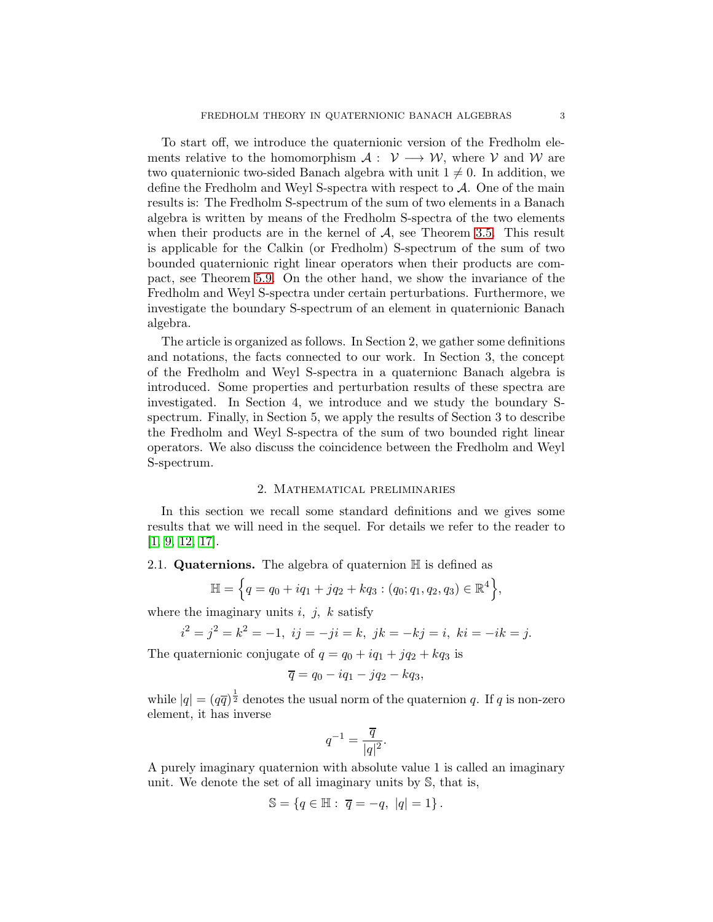To start off, we introduce the quaternionic version of the Fredholm elements relative to the homomorphism  $\mathcal{A}: \mathcal{V} \longrightarrow \mathcal{W}$ , where  $\mathcal{V}$  and  $\mathcal{W}$  are two quaternionic two-sided Banach algebra with unit  $1 \neq 0$ . In addition, we define the Fredholm and Weyl S-spectra with respect to  $A$ . One of the main results is: The Fredholm S-spectrum of the sum of two elements in a Banach algebra is written by means of the Fredholm S-spectra of the two elements when their products are in the kernel of  $A$ , see Theorem [3.5.](#page-8-0) This result is applicable for the Calkin (or Fredholm) S-spectrum of the sum of two bounded quaternionic right linear operators when their products are compact, see Theorem [5.9.](#page-16-0) On the other hand, we show the invariance of the Fredholm and Weyl S-spectra under certain perturbations. Furthermore, we investigate the boundary S-spectrum of an element in quaternionic Banach algebra.

The article is organized as follows. In Section 2, we gather some definitions and notations, the facts connected to our work. In Section 3, the concept of the Fredholm and Weyl S-spectra in a quaternionc Banach algebra is introduced. Some properties and perturbation results of these spectra are investigated. In Section 4, we introduce and we study the boundary Sspectrum. Finally, in Section 5, we apply the results of Section 3 to describe the Fredholm and Weyl S-spectra of the sum of two bounded right linear operators. We also discuss the coincidence between the Fredholm and Weyl S-spectrum.

### 2. Mathematical preliminaries

<span id="page-2-0"></span>In this section we recall some standard definitions and we gives some results that we will need in the sequel. For details we refer to the reader to [\[1,](#page-20-15) [9,](#page-20-12) [12,](#page-20-16) [17\]](#page-20-14).

# <span id="page-2-1"></span>2.1. **Quaternions.** The algebra of quaternion  $\mathbb{H}$  is defined as

$$
\mathbb{H} = \left\{ q = q_0 + iq_1 + jq_2 + kq_3 : (q_0; q_1, q_2, q_3) \in \mathbb{R}^4 \right\},\
$$

where the imaginary units  $i, j, k$  satisfy

i

$$
x^2 = j^2 = k^2 = -1, \ ij = -ji = k, \ jk = -kj = i, \ ki = -ik = j.
$$

The quaternionic conjugate of  $q = q_0 + iq_1 + iq_2 + kq_3$  is

$$
\overline{q} = q_0 - iq_1 - jq_2 - kq_3,
$$

while  $|q| = (q\overline{q})^{\frac{1}{2}}$  denotes the usual norm of the quaternion q. If q is non-zero element, it has inverse

$$
q^{-1}=\frac{\overline{q}}{|q|^2}.
$$

A purely imaginary quaternion with absolute value 1 is called an imaginary unit. We denote the set of all imaginary units by S, that is,

$$
\mathbb{S} = \{q \in \mathbb{H} : \overline{q} = -q, |q| = 1\}.
$$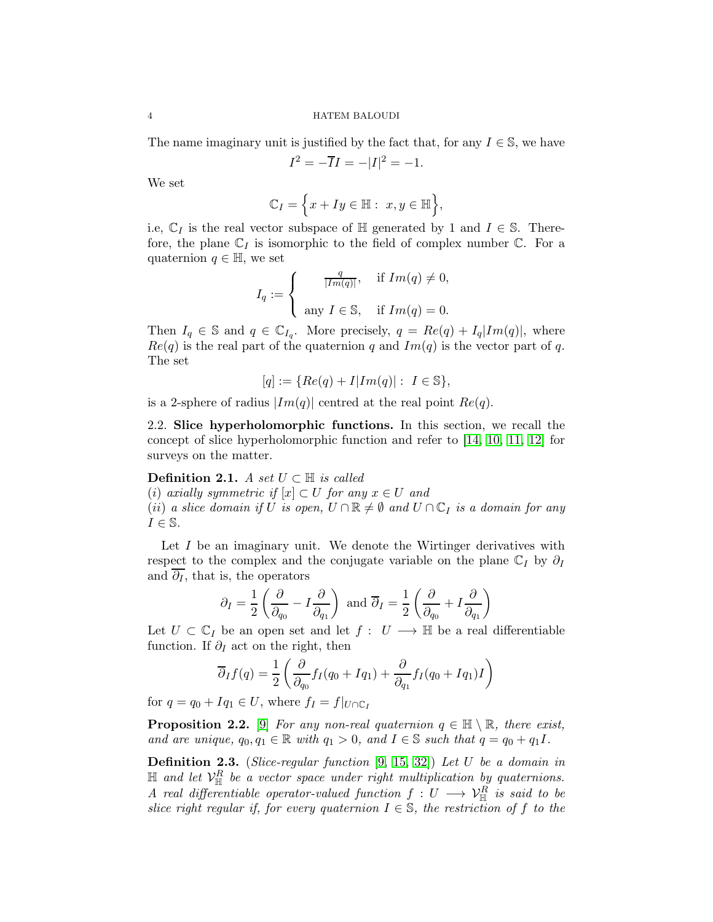The name imaginary unit is justified by the fact that, for any  $I \in \mathbb{S}$ , we have

$$
I^2 = -\overline{I}I = -|I|^2 = -1.
$$

We set

$$
\mathbb{C}_I = \Big\{ x + Iy \in \mathbb{H} : x, y \in \mathbb{H} \Big\},\
$$

i.e,  $\mathbb{C}_I$  is the real vector subspace of H generated by 1 and  $I \in \mathbb{S}$ . Therefore, the plane  $\mathbb{C}_I$  is isomorphic to the field of complex number  $\mathbb{C}$ . For a quaternion  $q \in \mathbb{H}$ , we set

$$
I_q := \begin{cases} \frac{q}{|Im(q)|}, & \text{if } Im(q) \neq 0, \\ \text{any } I \in \mathbb{S}, & \text{if } Im(q) = 0. \end{cases}
$$

Then  $I_q \in \mathcal{S}$  and  $q \in \mathbb{C}_{I_q}$ . More precisely,  $q = Re(q) + I_q |Im(q)|$ , where  $Re(q)$  is the real part of the quaternion q and  $Im(q)$  is the vector part of q. The set

$$
[q]:=\{Re(q)+I|Im(q)|:\ I\in \mathbb{S}\},
$$

<span id="page-3-0"></span>is a 2-sphere of radius  $|Im(q)|$  centred at the real point  $Re(q)$ .

2.2. Slice hyperholomorphic functions. In this section, we recall the concept of slice hyperholomorphic function and refer to [\[14,](#page-20-17) [10,](#page-20-18) [11,](#page-20-19) [12\]](#page-20-16) for surveys on the matter.

# Definition 2.1. A set  $U \subset \mathbb{H}$  is called

(i) axially symmetric if  $[x] \subset U$  for any  $x \in U$  and (ii) a slice domain if U is open,  $U \cap \mathbb{R} \neq \emptyset$  and  $U \cap \mathbb{C}_I$  is a domain for any  $I \in \mathbb{S}$ .

Let  $I$  be an imaginary unit. We denote the Wirtinger derivatives with respect to the complex and the conjugate variable on the plane  $\mathbb{C}_I$  by  $\partial_I$ and  $\overline{\partial}_I$ , that is, the operators

$$
\partial_I = \frac{1}{2} \left( \frac{\partial}{\partial_{q_0}} - I \frac{\partial}{\partial_{q_1}} \right)
$$
 and  $\overline{\partial}_I = \frac{1}{2} \left( \frac{\partial}{\partial_{q_0}} + I \frac{\partial}{\partial_{q_1}} \right)$ 

Let  $U \subset \mathbb{C}_I$  be an open set and let  $f : U \longrightarrow \mathbb{H}$  be a real differentiable function. If  $\partial_I$  act on the right, then

$$
\overline{\partial}_I f(q) = \frac{1}{2} \left( \frac{\partial}{\partial_{q_0}} f_I(q_0 + Iq_1) + \frac{\partial}{\partial_{q_1}} f_I(q_0 + Iq_1) I \right)
$$

for  $q = q_0 + Iq_1 \in U$ , where  $f_I = f|_{U \cap \mathbb{C}_I}$ 

**Proposition 2.2.** [\[9\]](#page-20-12) For any non-real quaternion  $q \in \mathbb{H} \setminus \mathbb{R}$ , there exist, and are unique,  $q_0, q_1 \in \mathbb{R}$  with  $q_1 > 0$ , and  $I \in \mathbb{S}$  such that  $q = q_0 + q_1 I$ .

**Definition 2.3.** (Slice-regular function  $[9, 15, 32]$  $[9, 15, 32]$  $[9, 15, 32]$ ) Let U be a domain in  $\mathbb{H}$  and let  $\mathcal{V}_{\mathbb{H}}^R$  be a vector space under right multiplication by quaternions. A real differentiable operator-valued function  $f: U \longrightarrow V^R_{\mathbb H}$  is said to be slice right regular if, for every quaternion  $I \in \mathbb{S}$ , the restriction of f to the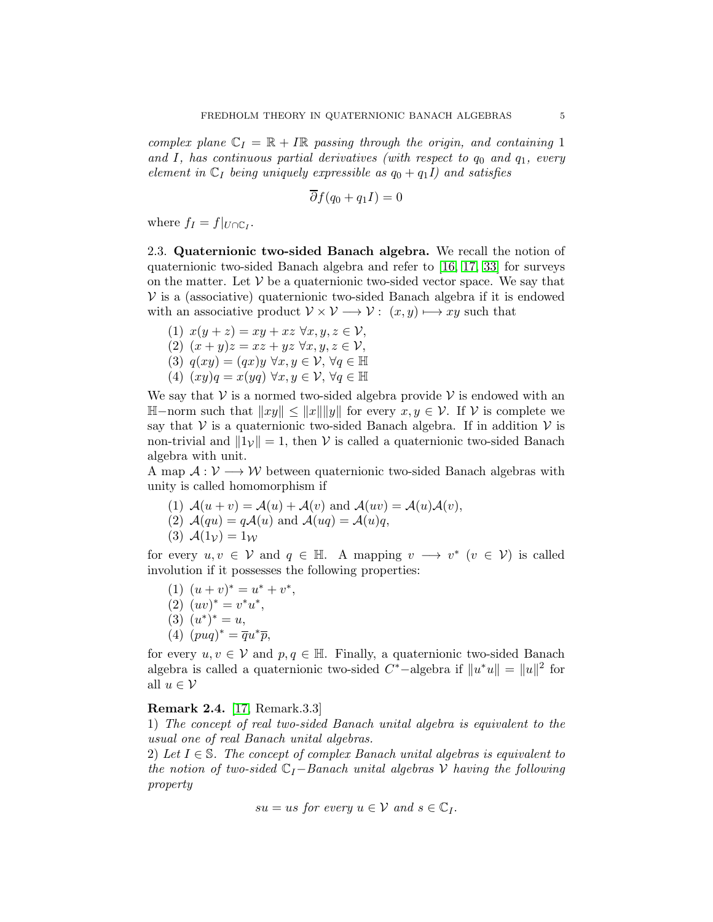complex plane  $\mathbb{C}_I = \mathbb{R} + I\mathbb{R}$  passing through the origin, and containing 1 and I, has continuous partial derivatives (with respect to  $q_0$  and  $q_1$ , every element in  $\mathbb{C}_I$  being uniquely expressible as  $q_0 + q_1 I$ ) and satisfies

$$
\overline{\partial} f(q_0 + q_1 I) = 0
$$

<span id="page-4-0"></span>where  $f_I = f|_{U \cap \mathbb{C}_I}$ .

2.3. Quaternionic two-sided Banach algebra. We recall the notion of quaternionic two-sided Banach algebra and refer to [\[16,](#page-20-21) [17,](#page-20-14) [33\]](#page-21-2) for surveys on the matter. Let  $V$  be a quaternionic two-sided vector space. We say that  $V$  is a (associative) quaternionic two-sided Banach algebra if it is endowed with an associative product  $V \times V \longrightarrow V : (x, y) \longmapsto xy$  such that

(1)  $x(y + z) = xy + xz \,\forall x, y, z \in \mathcal{V}$ , (2)  $(x + y)z = xz + yz \,\forall x, y, z \in \mathcal{V}$ , (3)  $q(xy) = (qx)y \forall x, y \in V, \forall q \in \mathbb{H}$ (4)  $(xy)q = x(yq) \forall x, y \in V, \forall q \in \mathbb{H}$ 

We say that  $V$  is a normed two-sided algebra provide V is endowed with an  $\mathbb{H}-norm$  such that  $||xy|| \leq ||x|| ||y||$  for every  $x, y \in V$ . If  $V$  is complete we say that  $V$  is a quaternionic two-sided Banach algebra. If in addition  $V$  is non-trivial and  $||1_V|| = 1$ , then V is called a quaternionic two-sided Banach algebra with unit.

A map  $A: V \longrightarrow W$  between quaternionic two-sided Banach algebras with unity is called homomorphism if

(1)  $\mathcal{A}(u + v) = \mathcal{A}(u) + \mathcal{A}(v)$  and  $\mathcal{A}(uv) = \mathcal{A}(u)\mathcal{A}(v)$ , (2)  $\mathcal{A}(qu) = q\mathcal{A}(u)$  and  $\mathcal{A}(uq) = \mathcal{A}(u)q$ , (3)  $\mathcal{A}(1_{\mathcal{V}})=1_{\mathcal{W}}$ 

for every  $u, v \in V$  and  $q \in \mathbb{H}$ . A mapping  $v \longrightarrow v^*$   $(v \in V)$  is called involution if it possesses the following properties:

- (1)  $(u + v)^* = u^* + v^*$ ,  $(2) (uv)^* = v^*u^*,$ (3)  $(u^*)^* = u,$
- (4)  $(puq)^* = \overline{q}u^*\overline{p},$

for every  $u, v \in V$  and  $p, q \in \mathbb{H}$ . Finally, a quaternionic two-sided Banach algebra is called a quaternionic two-sided  $C^*$ -algebra if  $||u^*u|| = ||u||^2$  for all  $u \in \mathcal{V}$ 

### Remark 2.4. [\[17,](#page-20-14) Remark.3.3]

1) The concept of real two-sided Banach unital algebra is equivalent to the usual one of real Banach unital algebras.

2) Let  $I \in \mathbb{S}$ . The concept of complex Banach unital algebras is equivalent to the notion of two-sided  $\mathbb{C}_I-\text{Banach}$  unital algebras V having the following property

$$
su = us \; for \; every \; u \in \mathcal{V} \; and \; s \in \mathbb{C}_I.
$$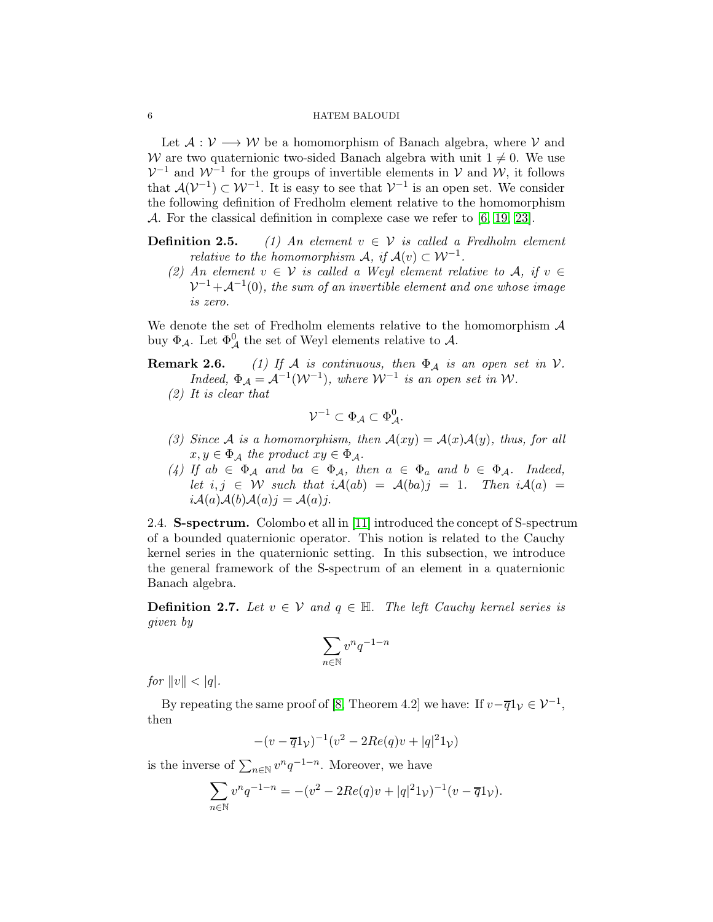#### 6 HATEM BALOUDI

Let  $A: V \longrightarrow W$  be a homomorphism of Banach algebra, where V and W are two quaternionic two-sided Banach algebra with unit  $1 \neq 0$ . We use  $\mathcal{V}^{-1}$  and  $\mathcal{W}^{-1}$  for the groups of invertible elements in  $\mathcal{V}$  and  $\mathcal{W}$ , it follows that  $\mathcal{A}(\mathcal{V}^{-1}) \subset \mathcal{W}^{-1}$ . It is easy to see that  $\mathcal{V}^{-1}$  is an open set. We consider the following definition of Fredholm element relative to the homomorphism A. For the classical definition in complexe case we refer to [\[6,](#page-20-7) [19,](#page-20-3) [23\]](#page-20-22).

- **Definition 2.5.** (1) An element  $v \in V$  is called a Fredholm element relative to the homomorphism  $\mathcal{A}, \text{ if } \mathcal{A}(v) \subset \mathcal{W}^{-1}.$ 
	- (2) An element  $v \in V$  is called a Weyl element relative to A, if  $v \in V$  $\mathcal{V}^{-1}+\mathcal{A}^{-1}(0),$  the sum of an invertible element and one whose image is zero.

We denote the set of Fredholm elements relative to the homomorphism  $A$ buy  $\Phi_{\mathcal{A}}$ . Let  $\Phi_{\mathcal{A}}^{0}$  the set of Weyl elements relative to  $\mathcal{A}$ .

**Remark 2.6.** (1) If A is continuous, then  $\Phi_A$  is an open set in V. Indeed,  $\Phi_{\mathcal{A}} = \mathcal{A}^{-1}(\mathcal{W}^{-1})$ , where  $\mathcal{W}^{-1}$  is an open set in W.

(2) It is clear that

$$
\mathcal{V}^{-1} \subset \Phi_{\mathcal{A}} \subset \Phi_{\mathcal{A}}^0.
$$

- (3) Since A is a homomorphism, then  $A(xy) = A(x)A(y)$ , thus, for all  $x, y \in \Phi_{\mathcal{A}}$  the product  $xy \in \Phi_{\mathcal{A}}$ .
- (4) If  $ab \in \Phi_{\mathcal{A}}$  and  $ba \in \Phi_{\mathcal{A}}$ , then  $a \in \Phi_a$  and  $b \in \Phi_{\mathcal{A}}$ . Indeed, let  $i, j \in W$  such that  $iA(ab) = A(ba)j = 1$ . Then  $iA(a) =$  $iA(a)A(b)A(a)j = A(a)j.$

<span id="page-5-0"></span>2.4. S-spectrum. Colombo et all in [\[11\]](#page-20-19) introduced the concept of S-spectrum of a bounded quaternionic operator. This notion is related to the Cauchy kernel series in the quaternionic setting. In this subsection, we introduce the general framework of the S-spectrum of an element in a quaternionic Banach algebra.

**Definition 2.7.** Let  $v \in V$  and  $q \in H$ . The left Cauchy kernel series is given by

$$
\sum_{n\in\mathbb{N}}v^nq^{-1-n}
$$

for  $||v|| < |q|$ .

By repeating the same proof of [\[8,](#page-20-11) Theorem 4.2] we have: If  $v-\overline{q}1_v \in \mathcal{V}^{-1}$ , then

$$
-(v - \overline{q}1v)^{-1}(v^2 - 2Re(q)v + |q|^21v)
$$

is the inverse of  $\sum_{n\in\mathbb{N}} v^n q^{-1-n}$ . Moreover, we have

$$
\sum_{n \in \mathbb{N}} v^n q^{-1-n} = -(v^2 - 2Re(q)v + |q|^2 1_v)^{-1} (v - \overline{q} 1_v).
$$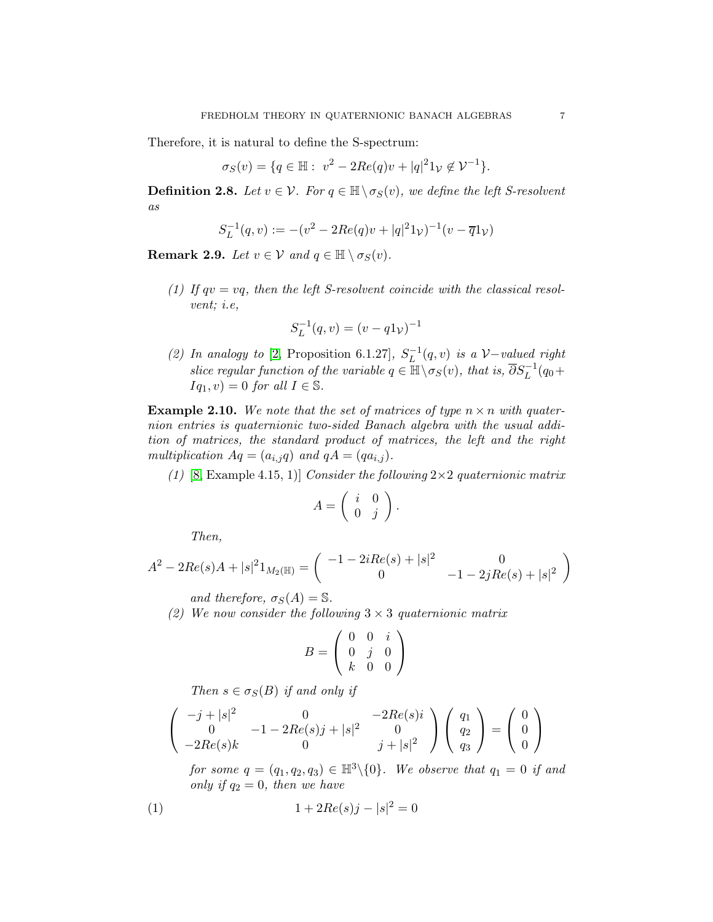Therefore, it is natural to define the S-spectrum:

$$
\sigma_S(v) = \{q \in \mathbb{H} : v^2 - 2Re(q)v + |q|^2 1_V \notin \mathcal{V}^{-1}\}.
$$

**Definition 2.8.** Let  $v \in V$ . For  $q \in \mathbb{H} \setminus \sigma_S(v)$ , we define the left S-resolvent as

$$
S_L^{-1}(q, v) := -(v^2 - 2Re(q)v + |q|^2 1v)^{-1}(v - \overline{q}1v)
$$

**Remark 2.9.** Let  $v \in V$  and  $q \in \mathbb{H} \setminus \sigma_S(v)$ .

(1) If  $qv = vq$ , then the left S-resolvent coincide with the classical resolvent; i.e,

$$
S_L^{-1}(q,v)=(v-q1_{\mathcal{V}})^{-1}
$$

(2) In analogy to [\[2,](#page-20-23) Proposition 6.1.27],  $S_L^{-1}(q, v)$  is a  $\mathcal{V}-v$  and right slice regular function of the variable  $q \in \mathbb{H} \setminus \sigma_S(v)$ , that is,  $\overline{\partial} S_L^{-1}(q_0 +$  $Iq_1, v$  = 0 for all  $I \in \mathbb{S}$ .

**Example 2.10.** We note that the set of matrices of type  $n \times n$  with quaternion entries is quaternionic two-sided Banach algebra with the usual addition of matrices, the standard product of matrices, the left and the right multiplication  $Aq = (a_{i,j}q)$  and  $qA = (qa_{i,j})$ .

(1) [\[8,](#page-20-11) Example 4.15, 1)] Consider the following  $2\times 2$  quaternionic matrix

$$
A = \left( \begin{array}{cc} i & 0 \\ 0 & j \end{array} \right).
$$

Then,

$$
A^{2} - 2Re(s)A + |s|^{2}1_{M_{2}(\mathbb{H})} = \begin{pmatrix} -1 - 2iRe(s) + |s|^{2} & 0\\ 0 & -1 - 2jRe(s) + |s|^{2} \end{pmatrix}
$$

and therefore,  $\sigma_S(A) = \mathbb{S}$ .

(2) We now consider the following  $3 \times 3$  quaternionic matrix

$$
B = \left(\begin{array}{ccc} 0 & 0 & i \\ 0 & j & 0 \\ k & 0 & 0 \end{array}\right)
$$

Then  $s \in \sigma_S(B)$  if and only if

$$
\begin{pmatrix} -j + |s|^2 & 0 & -2Re(s)i \\ 0 & -1 - 2Re(s)j + |s|^2 & 0 \\ -2Re(s)k & 0 & j + |s|^2 \end{pmatrix} \begin{pmatrix} q_1 \\ q_2 \\ q_3 \end{pmatrix} = \begin{pmatrix} 0 \\ 0 \\ 0 \end{pmatrix}
$$

<span id="page-6-0"></span>for some  $q = (q_1, q_2, q_3) \in \mathbb{H}^3 \setminus \{0\}$ . We observe that  $q_1 = 0$  if and only if  $q_2 = 0$ , then we have

(1) 
$$
1 + 2Re(s)j - |s|^2 = 0
$$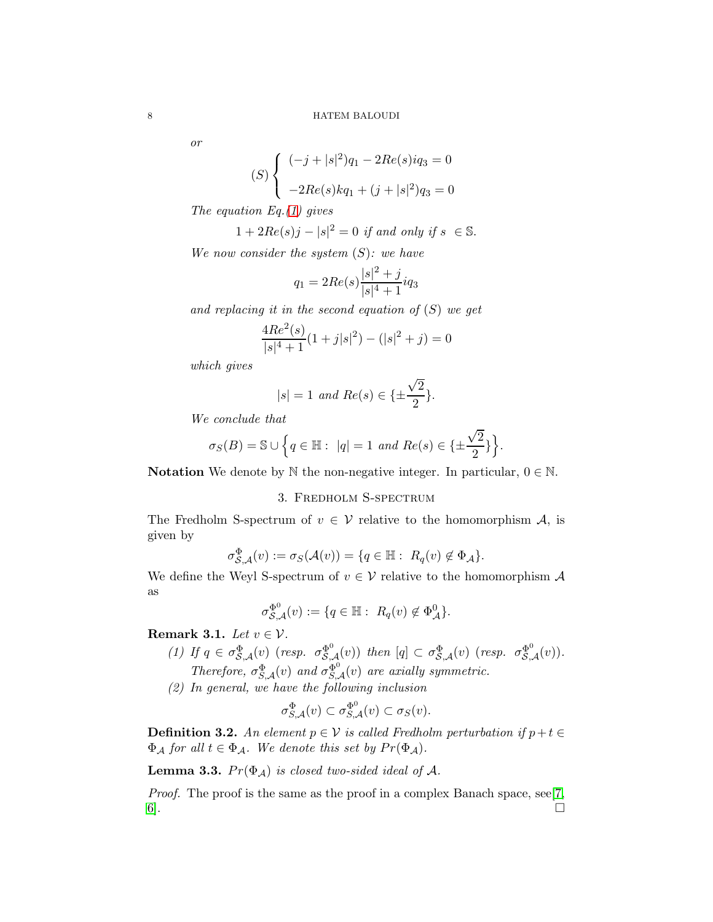or

$$
(S)\begin{cases} (-j+|s|^2)q_1 - 2Re(s)iq_3 = 0\\ -2Re(s)kq_1 + (j+|s|^2)q_3 = 0 \end{cases}
$$

The equation Eq.  $(1)$  gives

$$
1 + 2Re(s)j - |s|^2 = 0
$$
 if and only if  $s \in \mathbb{S}$ .

We now consider the system  $(S)$ : we have

$$
q_1 = 2Re(s)\frac{|s|^2 + j}{|s|^4 + 1}iq_3
$$

and replacing it in the second equation of  $(S)$  we get

$$
\frac{4Re^2(s)}{|s|^4+1}(1+j|s|^2) - (|s|^2+j) = 0
$$

which gives

$$
|s|=1 \ and \ Re(s) \in \{\pm \frac{\sqrt{2}}{2}\}.
$$

We conclude that

$$
\sigma_S(B) = \mathbb{S} \cup \left\{ q \in \mathbb{H} : \ |q| = 1 \ and \ Re(s) \in \{\pm \frac{\sqrt{2}}{2}\}\right\}.
$$

<span id="page-7-0"></span>Notation We denote by  $\mathbb N$  the non-negative integer. In particular,  $0 \in \mathbb N$ .

# 3. Fredholm S-spectrum

The Fredholm S-spectrum of  $v \in V$  relative to the homomorphism A, is given by

$$
\sigma_{\mathcal{S},\mathcal{A}}^{\Phi}(v) := \sigma_{\mathcal{S}}(\mathcal{A}(v)) = \{q \in \mathbb{H} : R_q(v) \notin \Phi_{\mathcal{A}}\}.
$$

We define the Weyl S-spectrum of  $v \in V$  relative to the homomorphism  $\mathcal A$ as

$$
\sigma_{\mathcal{S},\mathcal{A}}^{\Phi^0}(v) := \{ q \in \mathbb{H} : R_q(v) \notin \Phi_{\mathcal{A}}^0 \}.
$$

Remark 3.1. Let  $v \in \mathcal{V}$ .

- (1) If  $q \in \sigma_{\mathcal{S},\mathcal{A}}^{\Phi}(v)$  (resp.  $\sigma_{\mathcal{S},\mathcal{A}}^{\Phi^0}(v)$ ) then  $[q] \subset \sigma_{\mathcal{S},\mathcal{A}}^{\Phi}(v)$  (resp.  $\sigma_{\mathcal{S},\mathcal{A}}^{\Phi^0}(v)$ ). Therefore,  $\sigma_{S,A}^{\Phi}(v)$  and  $\sigma_{S,A}^{\Phi^0}(v)$  are axially symmetric.
- (2) In general, we have the following inclusion

$$
\sigma_{S,\mathcal A}^{\Phi}(v) \subset \sigma_{S,\mathcal A}^{\Phi^0}(v) \subset \sigma_S(v).
$$

**Definition 3.2.** An element  $p \in V$  is called Fredholm perturbation if  $p + t \in$  $\Phi_{\mathcal{A}}$  for all  $t \in \Phi_{\mathcal{A}}$ . We denote this set by  $Pr(\Phi_{\mathcal{A}})$ .

**Lemma 3.3.**  $Pr(\Phi_A)$  is closed two-sided ideal of A.

Proof. The proof is the same as the proof in a complex Banach space, see[\[7,](#page-20-2)]  $6$ ].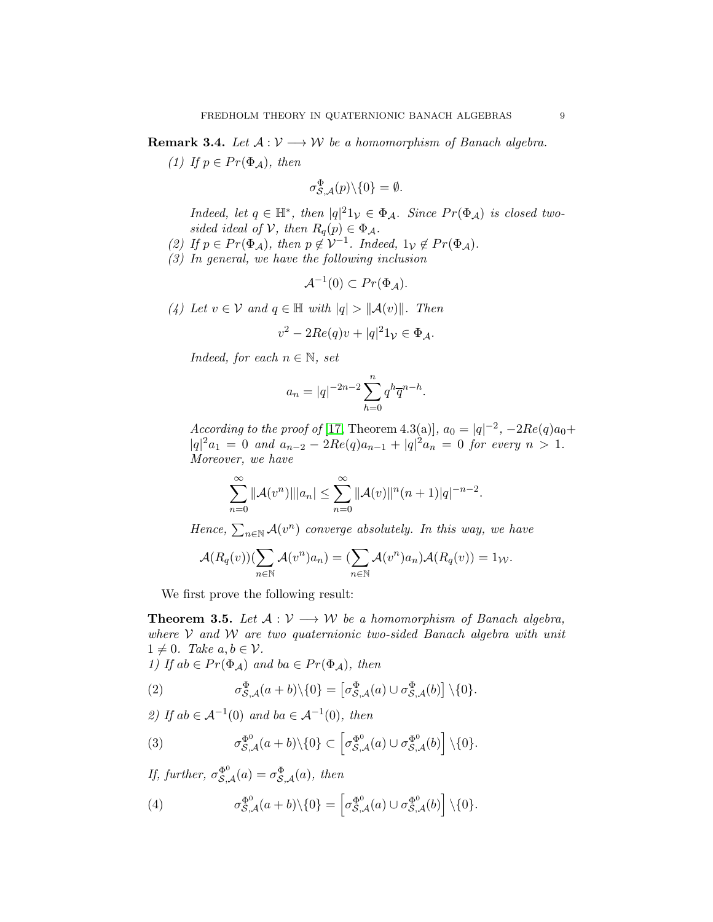**Remark 3.4.** Let  $A: V \longrightarrow W$  be a homomorphism of Banach algebra.

(1) If  $p \in Pr(\Phi_{\mathcal{A}})$ , then

$$
\sigma_{\mathcal{S},\mathcal{A}}^{\Phi}(p)\backslash\{0\}=\emptyset.
$$

Indeed, let  $q \in \mathbb{H}^*$ , then  $|q|^2 \mathbb{1}_{\mathcal{V}} \in \Phi_{\mathcal{A}}$ . Since  $Pr(\Phi_{\mathcal{A}})$  is closed twosided ideal of  $V$ , then  $R_q(p) \in \Phi_A$ .

- (2) If  $p \in Pr(\Phi_{\mathcal{A}})$ , then  $p \notin \mathcal{V}^{-1}$ . Indeed,  $1_{\mathcal{V}} \notin Pr(\Phi_{\mathcal{A}})$ .
- (3) In general, we have the following inclusion

$$
\mathcal{A}^{-1}(0) \subset Pr(\Phi_{\mathcal{A}}).
$$

(4) Let  $v \in V$  and  $q \in \mathbb{H}$  with  $|q| > ||\mathcal{A}(v)||$ . Then

$$
v^2 - 2Re(q)v + |q|^2 1v \in \Phi_{\mathcal{A}}.
$$

Indeed, for each  $n \in \mathbb{N}$ , set

$$
a_n = |q|^{-2n-2} \sum_{h=0}^n q^h \overline{q}^{n-h}.
$$

According to the proof of [\[17,](#page-20-14) Theorem 4.3(a)],  $a_0 = |q|^{-2}$ ,  $-2Re(q)a_0 +$  $|q|^2 a_1 = 0$  and  $a_{n-2} - 2Re(q)a_{n-1} + |q|^2 a_n = 0$  for every  $n > 1$ . Moreover, we have

$$
\sum_{n=0}^{\infty} ||\mathcal{A}(v^n)|| |a_n| \leq \sum_{n=0}^{\infty} ||\mathcal{A}(v)||^n (n+1) |q|^{-n-2}.
$$

Hence,  $\sum_{n\in\mathbb{N}}\mathcal{A}(v^n)$  converge absolutely. In this way, we have

$$
\mathcal{A}(R_q(v))(\sum_{n\in\mathbb{N}}\mathcal{A}(v^n)a_n)=(\sum_{n\in\mathbb{N}}\mathcal{A}(v^n)a_n)\mathcal{A}(R_q(v))=1_{\mathcal{W}}.
$$

We first prove the following result:

<span id="page-8-0"></span>**Theorem 3.5.** Let  $A: V \longrightarrow W$  be a homomorphism of Banach algebra, where  $V$  and  $W$  are two quaternionic two-sided Banach algebra with unit  $1 \neq 0$ . Take  $a, b \in \mathcal{V}$ .

1) If  $ab \in Pr(\Phi_{\mathcal{A}})$  and  $ba \in Pr(\Phi_{\mathcal{A}})$ , then

<span id="page-8-1"></span>(2) 
$$
\sigma_{\mathcal{S},\mathcal{A}}^{\Phi}(a+b)\backslash\{0\} = \left[\sigma_{\mathcal{S},\mathcal{A}}^{\Phi}(a)\cup\sigma_{\mathcal{S},\mathcal{A}}^{\Phi}(b)\right]\backslash\{0\}.
$$

2) If  $ab \in \mathcal{A}^{-1}(0)$  and  $ba \in \mathcal{A}^{-1}(0)$ , then

<span id="page-8-2"></span>(3) 
$$
\sigma_{\mathcal{S},\mathcal{A}}^{\Phi^0}(a+b)\backslash\{0\} \subset \left[\sigma_{\mathcal{S},\mathcal{A}}^{\Phi^0}(a)\cup\sigma_{\mathcal{S},\mathcal{A}}^{\Phi^0}(b)\right]\backslash\{0\}.
$$

If, further,  $\sigma_{\mathcal{S},\mathcal{A}}^{\Phi^0}(a) = \sigma_{\mathcal{S},\mathcal{A}}^{\Phi}(a)$ , then

(4) 
$$
\sigma_{\mathcal{S},\mathcal{A}}^{\Phi^0}(a+b)\backslash\{0\} = \left[\sigma_{\mathcal{S},\mathcal{A}}^{\Phi^0}(a)\cup\sigma_{\mathcal{S},\mathcal{A}}^{\Phi^0}(b)\right]\backslash\{0\}.
$$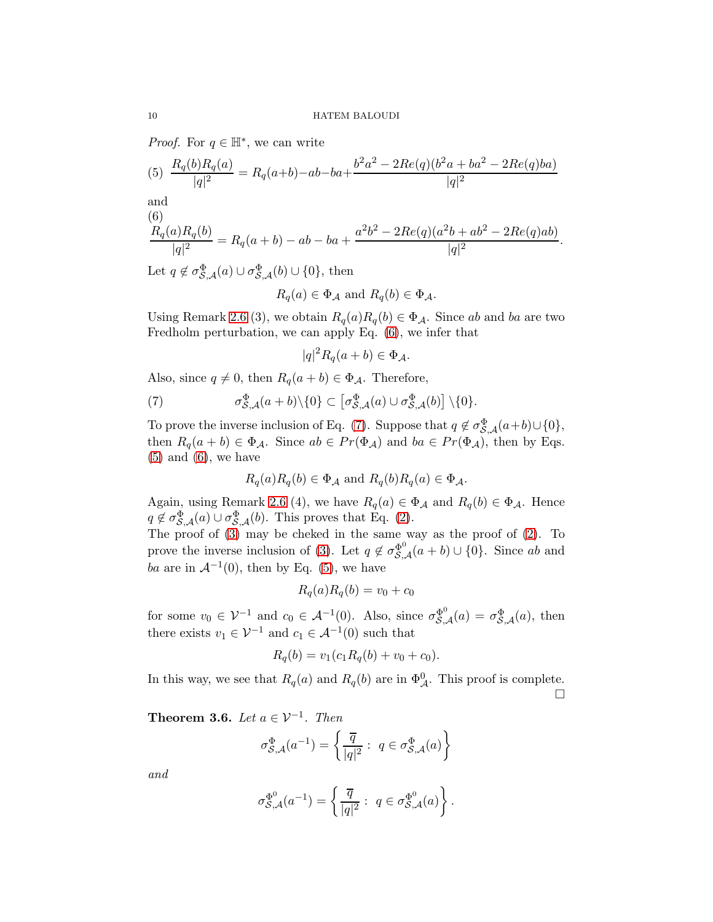*Proof.* For  $q \in \mathbb{H}^*$ , we can write

<span id="page-9-2"></span>(5) 
$$
\frac{R_q(b)R_q(a)}{|q|^2} = R_q(a+b) - ab - ba + \frac{b^2a^2 - 2Re(q)(b^2a + ba^2 - 2Re(q)ba)}{|q|^2}
$$
 and

 $(6)$ 

<span id="page-9-0"></span>
$$
\frac{R_q(a)R_q(b)}{|q|^2} = R_q(a+b) - ab - ba + \frac{a^2b^2 - 2Re(q)(a^2b + ab^2 - 2Re(q)ab)}{|q|^2}
$$

.

Let  $q \notin \sigma_{\mathcal{S},\mathcal{A}}^{\Phi}(a) \cup \sigma_{\mathcal{S},\mathcal{A}}^{\Phi}(b) \cup \{0\}$ , then

$$
R_q(a) \in \Phi_{\mathcal{A}}
$$
 and  $R_q(b) \in \Phi_{\mathcal{A}}$ .

Using Remark 2.6 (3), we obtain  $R_q(a)R_q(b) \in \Phi_{\mathcal{A}}$ . Since ab and ba are two Fredholm perturbation, we can apply Eq. [\(6\)](#page-9-0), we infer that

$$
|q|^2 R_q(a+b) \in \Phi_{\mathcal{A}}.
$$

Also, since  $q \neq 0$ , then  $R_q(a + b) \in \Phi_{\mathcal{A}}$ . Therefore,

(7) 
$$
\sigma_{\mathcal{S},\mathcal{A}}^{\Phi}(a+b)\backslash\{0\} \subset \left[\sigma_{\mathcal{S},\mathcal{A}}^{\Phi}(a)\cup\sigma_{\mathcal{S},\mathcal{A}}^{\Phi}(b)\right]\backslash\{0\}.
$$

To prove the inverse inclusion of Eq. [\(7\)](#page-9-1). Suppose that  $q \notin \sigma_{\mathcal{S},\mathcal{A}}^{\Phi}(a+b) \cup \{0\},\$ then  $R_q(a + b) \in \Phi_{\mathcal{A}}$ . Since  $ab \in Pr(\Phi_{\mathcal{A}})$  and  $ba \in Pr(\Phi_{\mathcal{A}})$ , then by Eqs.  $(5)$  and  $(6)$ , we have

<span id="page-9-1"></span>
$$
R_q(a)R_q(b) \in \Phi_{\mathcal{A}}
$$
 and  $R_q(b)R_q(a) \in \Phi_{\mathcal{A}}$ .

Again, using Remark 2.6 (4), we have  $R_q(a) \in \Phi_{\mathcal{A}}$  and  $R_q(b) \in \Phi_{\mathcal{A}}$ . Hence  $q \notin \sigma_{\mathcal{S},\mathcal{A}}^{\Phi}(a) \cup \sigma_{\mathcal{S},\mathcal{A}}^{\Phi}(b)$ . This proves that Eq. [\(2\)](#page-8-1).

The proof of [\(3\)](#page-8-2) may be cheked in the same way as the proof of [\(2\)](#page-8-1). To prove the inverse inclusion of [\(3\)](#page-8-2). Let  $q \notin \sigma_{\mathcal{S},\mathcal{A}}^{\Phi^0}(a+b) \cup \{0\}$ . Since  $ab$  and ba are in  $\mathcal{A}^{-1}(0)$ , then by Eq. [\(5\)](#page-9-2), we have

$$
R_q(a)R_q(b) = v_0 + c_0
$$

for some  $v_0 \in \mathcal{V}^{-1}$  and  $c_0 \in \mathcal{A}^{-1}(0)$ . Also, since  $\sigma_{\mathcal{S},\mathcal{A}}^{\Phi^0}(a) = \sigma_{\mathcal{S},\mathcal{A}}^{\Phi}(a)$ , then there exists  $v_1 \in \mathcal{V}^{-1}$  and  $c_1 \in \mathcal{A}^{-1}(0)$  such that

$$
R_q(b) = v_1(c_1 R_q(b) + v_0 + c_0).
$$

In this way, we see that  $R_q(a)$  and  $R_q(b)$  are in  $\Phi_{\mathcal{A}}^0$ . This proof is complete.  $\Box$ 

<span id="page-9-3"></span>**Theorem 3.6.** Let  $a \in \mathcal{V}^{-1}$ . Then

$$
\sigma_{\mathcal{S},\mathcal{A}}^{\Phi}(a^{-1}) = \left\{ \frac{\overline{q}}{|q|^2} : q \in \sigma_{\mathcal{S},\mathcal{A}}^{\Phi}(a) \right\}
$$

and

$$
\sigma_{\mathcal{S},\mathcal{A}}^{\Phi^0}(a^{-1}) = \left\{ \frac{\overline{q}}{|q|^2} : q \in \sigma_{\mathcal{S},\mathcal{A}}^{\Phi^0}(a) \right\}.
$$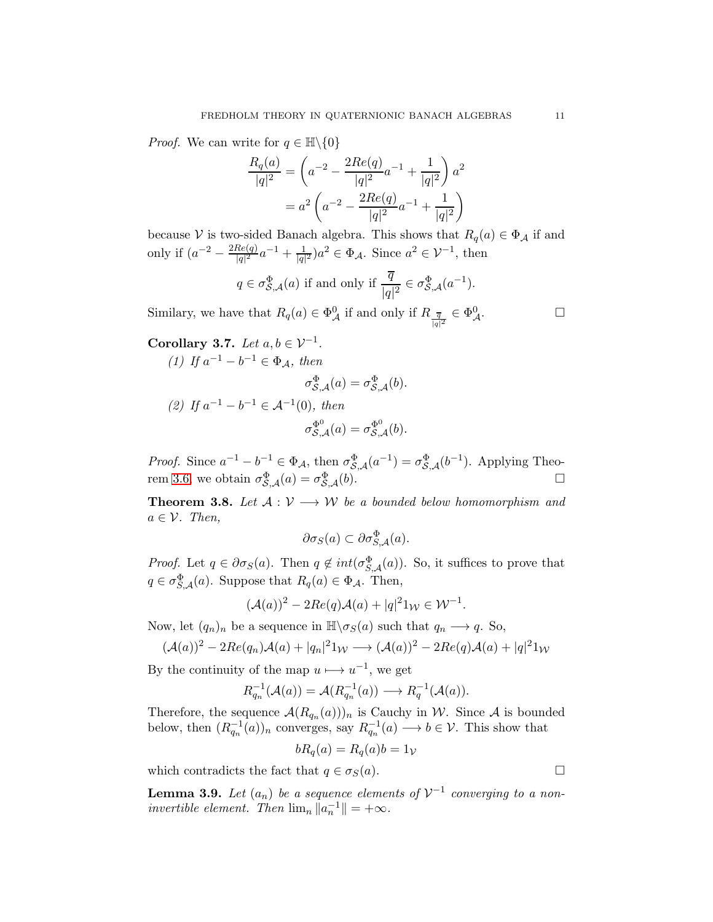*Proof.* We can write for  $q \in \mathbb{H}\backslash\{0\}$ 

$$
\frac{R_q(a)}{|q|^2} = \left(a^{-2} - \frac{2Re(q)}{|q|^2}a^{-1} + \frac{1}{|q|^2}\right)a^2
$$

$$
= a^2 \left(a^{-2} - \frac{2Re(q)}{|q|^2}a^{-1} + \frac{1}{|q|^2}\right)
$$

because V is two-sided Banach algebra. This shows that  $R_q(a) \in \Phi_{\mathcal{A}}$  if and only if  $(a^{-2} - \frac{2Re(q)}{|q|^2})$  $\frac{Re(q)}{|q|^2}a^{-1} + \frac{1}{|q|^2}a^2 \in \Phi_{\mathcal{A}}$ . Since  $a^2 \in \mathcal{V}^{-1}$ , then

$$
q \in \sigma_{\mathcal{S},\mathcal{A}}^{\Phi}(a)
$$
 if and only if  $\frac{\overline{q}}{|q|^2} \in \sigma_{\mathcal{S},\mathcal{A}}^{\Phi}(a^{-1}).$ 

Similary, we have that  $R_q(a) \in \Phi^0_{\mathcal{A}}$  if and only if  $R_{\frac{\overline{q}}{|q|^2}} \in \Phi^0_{\mathcal{A}}$ .

Corollary 3.7. Let  $a, b \in \mathcal{V}^{-1}$ .

<span id="page-10-1"></span>(1) If 
$$
a^{-1} - b^{-1} \in \Phi_{\mathcal{A}}
$$
, then  
\n
$$
\sigma_{\mathcal{S},\mathcal{A}}^{\Phi}(a) = \sigma_{\mathcal{S},\mathcal{A}}^{\Phi}(b).
$$
\n(2) If  $a^{-1} - b^{-1} \in \mathcal{A}^{-1}(0)$ , then  
\n
$$
\sigma_{\mathcal{S},\mathcal{A}}^{\Phi^0}(a) = \sigma_{\mathcal{S},\mathcal{A}}^{\Phi^0}(b).
$$

*Proof.* Since  $a^{-1} - b^{-1} \in \Phi_{\mathcal{A}}$ , then  $\sigma_{\mathcal{S},\mathcal{A}}^{\Phi}(a^{-1}) = \sigma_{\mathcal{S},\mathcal{A}}^{\Phi}(b^{-1})$ . Applying Theo-rem [3.6,](#page-9-3) we obtain  $\sigma_{\mathcal{S},\mathcal{A}}^{\Phi}(a) = \sigma_{\mathcal{S},\mathcal{A}}^{\Phi}(b)$ .

**Theorem 3.8.** Let  $A: V \longrightarrow W$  be a bounded below homomorphism and  $a \in \mathcal{V}$ . Then,

 $\partial \sigma_S(a) \subset \partial \sigma_{S,A}^{\Phi}(a).$ 

*Proof.* Let  $q \in \partial \sigma_S(a)$ . Then  $q \notin int(\sigma_{S,A}^{\Phi}(a))$ . So, it suffices to prove that  $q \in \sigma_{S,A}^{\Phi}(a)$ . Suppose that  $R_q(a) \in \Phi_{A}$ . Then,

$$
(\mathcal{A}(a))^2 - 2Re(q)\mathcal{A}(a) + |q|^2 1_W \in \mathcal{W}^{-1}.
$$

Now, let  $(q_n)_n$  be a sequence in  $\mathbb{H}\setminus \sigma_S(a)$  such that  $q_n \longrightarrow q$ . So,

$$
(\mathcal{A}(a))^2 - 2Re(q_n)\mathcal{A}(a) + |q_n|^2 1_W \longrightarrow (\mathcal{A}(a))^2 - 2Re(q)\mathcal{A}(a) + |q|^2 1_W
$$

By the continuity of the map  $u \mapsto u^{-1}$ , we get

$$
R_{q_n}^{-1}(\mathcal{A}(a)) = \mathcal{A}(R_{q_n}^{-1}(a)) \longrightarrow R_q^{-1}(\mathcal{A}(a)).
$$

Therefore, the sequence  $\mathcal{A}(R_{q_n}(a)))_n$  is Cauchy in W. Since A is bounded below, then  $(R_{q_n}^{-1}(a))_n$  converges, say  $R_{q_n}^{-1}(a) \longrightarrow b \in \mathcal{V}$ . This show that

$$
bR_q(a) = R_q(a)b = 1v
$$

which contradicts the fact that  $q \in \sigma_S(a)$ .

<span id="page-10-0"></span>**Lemma 3.9.** Let  $(a_n)$  be a sequence elements of  $V^{-1}$  converging to a noninvertible element. Then  $\lim_{n} ||a_n^{-1}|| = +\infty$ .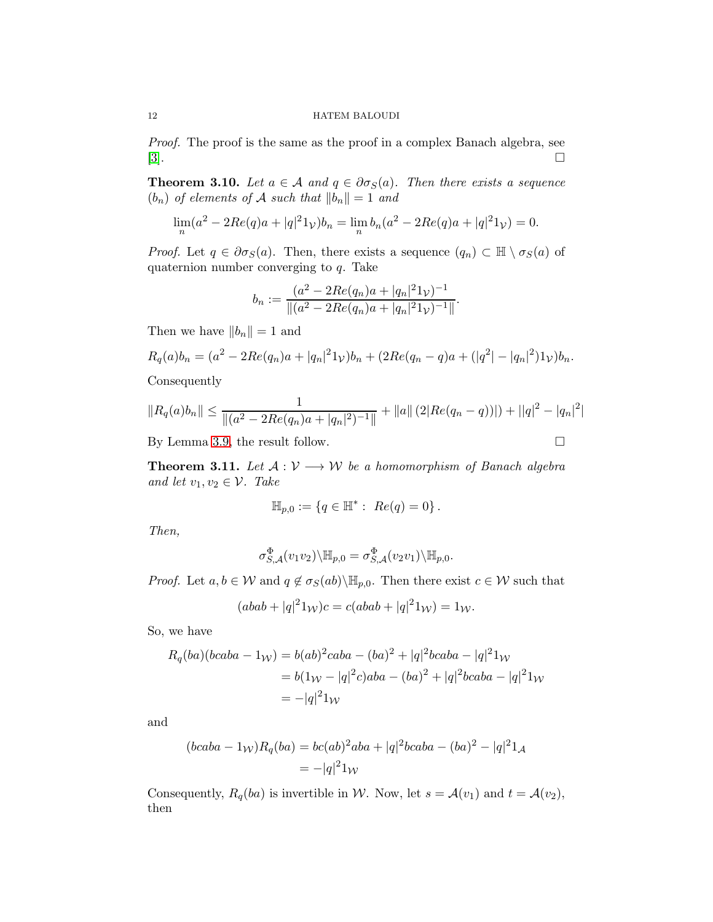### 12 HATEM BALOUDI

Proof. The proof is the same as the proof in a complex Banach algebra, see [\[3\]](#page-20-24).

**Theorem 3.10.** Let  $a \in \mathcal{A}$  and  $q \in \partial \sigma_S(a)$ . Then there exists a sequence  $(b_n)$  of elements of A such that  $||b_n|| = 1$  and

$$
\lim_{n} (a^{2} - 2Re(q)a + |q|^{2} 1_{\mathcal{V}}) b_{n} = \lim_{n} b_{n} (a^{2} - 2Re(q)a + |q|^{2} 1_{\mathcal{V}}) = 0.
$$

*Proof.* Let  $q \in \partial \sigma_S(a)$ . Then, there exists a sequence  $(q_n) \subset \mathbb{H} \setminus \sigma_S(a)$  of quaternion number converging to q. Take

$$
b_n := \frac{(a^2 - 2Re(q_n)a + |q_n|^2 1\nu)^{-1}}{\|(a^2 - 2Re(q_n)a + |q_n|^2 1\nu)^{-1}\|}.
$$

Then we have  $||b_n|| = 1$  and

$$
R_q(a)b_n = (a^2 - 2Re(q_n)a + |q_n|^2 1_{\mathcal{V}})b_n + (2Re(q_n - q)a + (|q^2| - |q_n|^2) 1_{\mathcal{V}})b_n.
$$

Consequently

$$
||R_q(a)b_n|| \le \frac{1}{||(a^2 - 2Re(q_n)a + |q_n|^2)^{-1}||} + ||a|| (2|Re(q_n - q))| + ||q|^2 - |q_n|^2|
$$

By Lemma [3.9,](#page-10-0) the result follow.

**Theorem 3.11.** Let  $A: V \longrightarrow W$  be a homomorphism of Banach algebra and let  $v_1, v_2 \in \mathcal{V}$ . Take

$$
\mathbb{H}_{p,0} := \{ q \in \mathbb{H}^* : Re(q) = 0 \}.
$$

Then,

$$
\sigma_{S,\mathcal{A}}^{\Phi}(v_1v_2)\backslash \mathbb{H}_{p,0} = \sigma_{S,\mathcal{A}}^{\Phi}(v_2v_1)\backslash \mathbb{H}_{p,0}.
$$

*Proof.* Let  $a, b \in W$  and  $q \notin \sigma_S(ab) \backslash \mathbb{H}_{p,0}$ . Then there exist  $c \in W$  such that

$$
(abab + |q|^2 1_W)c = c(abab + |q|^2 1_W) = 1_W.
$$

So, we have

$$
R_q(ba)(bcaba - 1W) = b(ab)2 caba - (ba)2 + |q|2bcaba - |q|21W
$$
  
= b(1<sub>W</sub> - |q|<sup>2</sup>c)aba - (ba)<sup>2</sup> + |q|<sup>2</sup>bcaba - |q|<sup>2</sup>1<sub>W</sub>  
= -|q|<sup>2</sup>1<sub>W</sub>

and

$$
(bcaba - 1W)Rq(ba) = bc(ab)2aba + |q|2bcaba - (ba)2 - |q|21A
$$
  
= -|q|<sup>2</sup>1<sub>W</sub>

Consequently,  $R_q(ba)$  is invertible in W. Now, let  $s = \mathcal{A}(v_1)$  and  $t = \mathcal{A}(v_2)$ , then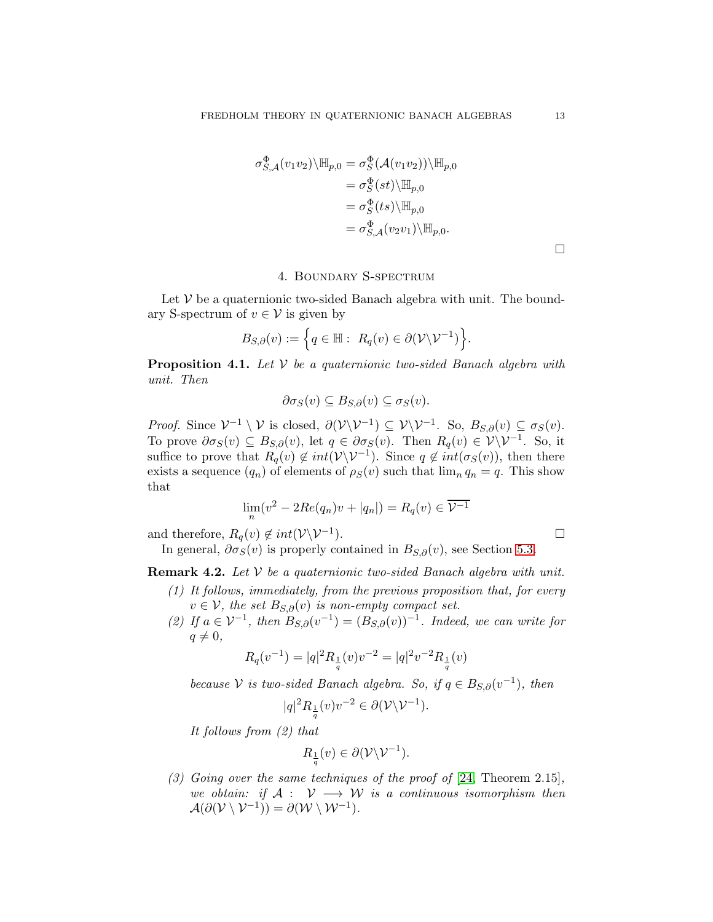$$
\sigma_{S,\mathcal{A}}^{\Phi}(v_1v_2)\backslash \mathbb{H}_{p,0} = \sigma_S^{\Phi}(\mathcal{A}(v_1v_2))\backslash \mathbb{H}_{p,0}
$$
  
=  $\sigma_S^{\Phi}(st)\backslash \mathbb{H}_{p,0}$   
=  $\sigma_S^{\Phi}(ts)\backslash \mathbb{H}_{p,0}$   
=  $\sigma_{S,\mathcal{A}}^{\Phi}(v_2v_1)\backslash \mathbb{H}_{p,0}$ .

 $\Box$ 

# 4. Boundary S-spectrum

<span id="page-12-0"></span>Let  $V$  be a quaternionic two-sided Banach algebra with unit. The boundary S-spectrum of  $v \in V$  is given by

$$
B_{S,\partial}(v) := \left\{ q \in \mathbb{H} : R_q(v) \in \partial(\mathcal{V} \backslash \mathcal{V}^{-1}) \right\}.
$$

**Proposition 4.1.** Let  $V$  be a quaternionic two-sided Banach algebra with unit. Then

$$
\partial \sigma_S(v) \subseteq B_{S,\partial}(v) \subseteq \sigma_S(v).
$$

*Proof.* Since  $V^{-1} \setminus V$  is closed,  $\partial(V\setminus V^{-1}) \subseteq V\setminus V^{-1}$ . So,  $B_{S,\partial}(v) \subseteq \sigma_S(v)$ . To prove  $\partial \sigma_S(v) \subseteq B_{S,\partial}(v)$ , let  $q \in \partial \sigma_S(v)$ . Then  $R_q(v) \in \mathcal{V}\backslash \mathcal{V}^{-1}$ . So, it suffice to prove that  $R_q(v) \notin int(V\backslash V^{-1})$ . Since  $q \notin int(\sigma_S(v))$ , then there exists a sequence  $(q_n)$  of elements of  $\rho_S(v)$  such that  $\lim_n q_n = q$ . This show that

$$
\lim_{n}(v^{2} - 2Re(q_{n})v + |q_{n}|) = R_{q}(v) \in \overline{\mathcal{V}^{-1}}
$$

and therefore,  $R_q(v) \notin int(\mathcal{V} \backslash \mathcal{V}^{-1})$ .  $\Box$ 

In general,  $\partial \sigma_S(v)$  is properly contained in  $B_{S,\partial}(v)$ , see Section [5.3.](#page-18-0)

<span id="page-12-1"></span>**Remark 4.2.** Let  $V$  be a quaternionic two-sided Banach algebra with unit.

- (1) It follows, immediately, from the previous proposition that, for every  $v \in V$ , the set  $B_{S,\partial}(v)$  is non-empty compact set.
- (2) If  $a \in V^{-1}$ , then  $B_{S,\partial}(v^{-1}) = (B_{S,\partial}(v))^{-1}$ . Indeed, we can write for  $q \neq 0,$

$$
R_q(v^{-1}) = |q|^2 R_{\frac{1}{q}}(v) v^{-2} = |q|^2 v^{-2} R_{\frac{1}{q}}(v)
$$

because  $V$  is two-sided Banach algebra. So, if  $q \in B_{S,\partial}(v^{-1})$ , then

$$
|q|^2 R_{\frac{1}{q}}(v)v^{-2} \in \partial(\mathcal{V}\backslash \mathcal{V}^{-1}).
$$

It follows from (2) that

$$
R_{\frac{1}{q}}(v) \in \partial(\mathcal{V} \backslash \mathcal{V}^{-1}).
$$

(3) Going over the same techniques of the proof of  $[24,$  Theorem 2.15], we obtain: if  $A: V \longrightarrow W$  is a continuous isomorphism then  $\mathcal{A}(\partial(\mathcal{V}\setminus\mathcal{V}^{-1}))=\partial(\mathcal{W}\setminus\mathcal{W}^{-1}).$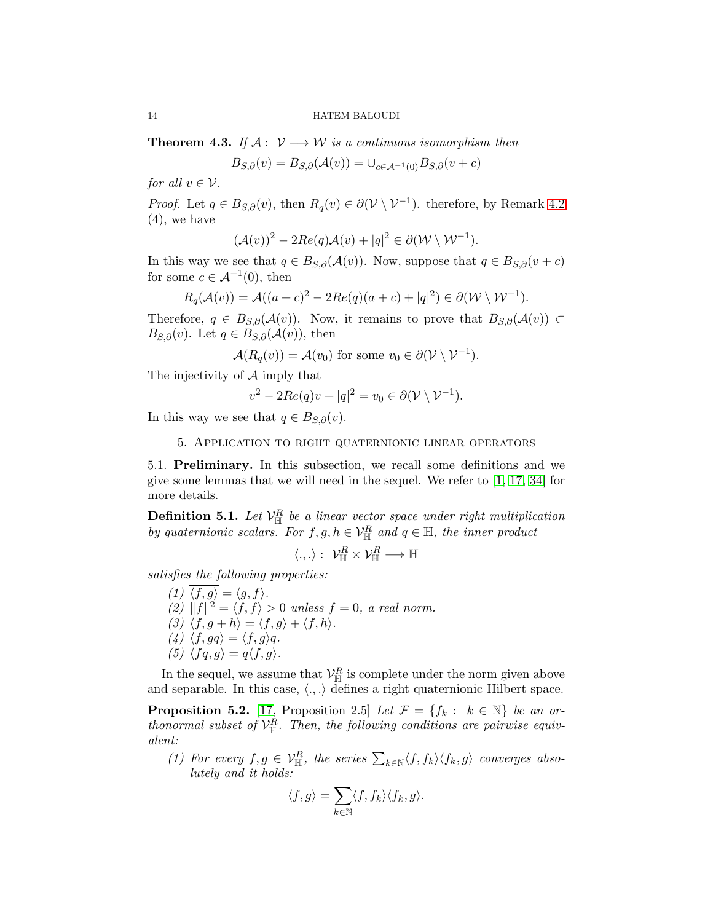**Theorem 4.3.** If  $A: V \rightarrow W$  is a continuous isomorphism then

$$
B_{S,\partial}(v) = B_{S,\partial}(\mathcal{A}(v)) = \bigcup_{c \in \mathcal{A}^{-1}(0)} B_{S,\partial}(v+c)
$$

for all  $v \in \mathcal{V}$ .

*Proof.* Let  $q \in B_{S,\partial}(v)$ , then  $R_q(v) \in \partial(\mathcal{V} \setminus \mathcal{V}^{-1})$ . therefore, by Remark [4.2](#page-12-1) (4), we have

$$
(\mathcal{A}(v))^2 - 2Re(q)\mathcal{A}(v) + |q|^2 \in \partial(\mathcal{W} \setminus \mathcal{W}^{-1}).
$$

In this way we see that  $q \in B_{S,\partial}(\mathcal{A}(v))$ . Now, suppose that  $q \in B_{S,\partial}(v+c)$ for some  $c \in \mathcal{A}^{-1}(0)$ , then

$$
R_q(\mathcal{A}(v)) = \mathcal{A}((a+c)^2 - 2Re(q)(a+c) + |q|^2) \in \partial(\mathcal{W} \setminus \mathcal{W}^{-1}).
$$

Therefore,  $q \in B_{S,\partial}(\mathcal{A}(v))$ . Now, it remains to prove that  $B_{S,\partial}(\mathcal{A}(v)) \subset$  $B_{S,\partial}(v)$ . Let  $q \in B_{S,\partial}(\mathcal{A}(v))$ , then

$$
\mathcal{A}(R_q(v)) = \mathcal{A}(v_0) \text{ for some } v_0 \in \partial(\mathcal{V} \setminus \mathcal{V}^{-1}).
$$

The injectivity of A imply that

$$
v^2 - 2Re(q)v + |q|^2 = v_0 \in \partial(\mathcal{V} \setminus \mathcal{V}^{-1}).
$$

<span id="page-13-0"></span>In this way we see that  $q \in B_{S,\partial}(v)$ .

5. Application to right quaternionic linear operators

<span id="page-13-1"></span>5.1. Preliminary. In this subsection, we recall some definitions and we give some lemmas that we will need in the sequel. We refer to [\[1,](#page-20-15) [17,](#page-20-14) [34\]](#page-21-3) for more details.

**Definition 5.1.** Let  $\mathcal{V}_{\mathbb{H}}^R$  be a linear vector space under right multiplication by quaternionic scalars. For  $f, g, h \in V^R_{\mathbb{H}}$  and  $q \in \mathbb{H}$ , the inner product

$$
\langle.,.\rangle:~\mathcal{V}^R_\mathbb{H}\times\mathcal{V}^R_\mathbb{H}\longrightarrow\mathbb{H}
$$

satisfies the following properties:

(1)  $\langle f, g \rangle = \langle g, f \rangle$ . (2)  $||f||^2 = \langle f, f \rangle > 0$  unless  $f = 0$ , a real norm. (3)  $\langle f, g + h \rangle = \langle f, g \rangle + \langle f, h \rangle.$ (4)  $\langle f, gq \rangle = \langle f, g \rangle q.$ (5)  $\langle f q, g \rangle = \overline{q} \langle f, g \rangle$ .

In the sequel, we assume that  $\mathcal{V}_{\mathbb{H}}^R$  is complete under the norm given above and separable. In this case,  $\langle ., . \rangle$  defines a right quaternionic Hilbert space.

**Proposition 5.2.** [\[17,](#page-20-14) Proposition 2.5] Let  $\mathcal{F} = \{f_k : k \in \mathbb{N}\}\$ be an orthonormal subset of  $\mathcal{V}_{\mathbb{H}}^R$ . Then, the following conditions are pairwise equivalent:

(1) For every  $f, g \in \mathcal{V}_{\mathbb{H}}^R$ , the series  $\sum_{k \in \mathbb{N}} \langle f, f_k \rangle \langle f_k, g \rangle$  converges absolutely and it holds:

$$
\langle f, g \rangle = \sum_{k \in \mathbb{N}} \langle f, f_k \rangle \langle f_k, g \rangle.
$$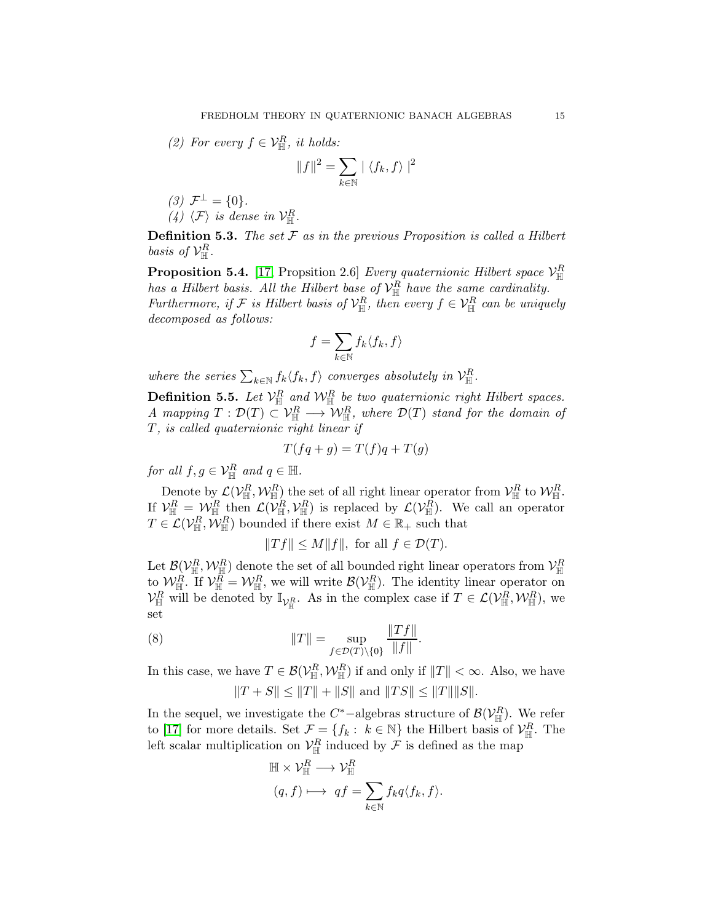(2) For every  $f \in \mathcal{V}_{\mathbb{H}}^R$ , it holds:

$$
||f||^2 = \sum_{k \in \mathbb{N}} |\langle f_k, f \rangle|^2
$$

(3)  $\mathcal{F}^{\perp} = \{0\}.$ (4)  $\langle \mathcal{F} \rangle$  is dense in  $\mathcal{V}_{\mathbb{H}}^R$ .

**Definition 5.3.** The set  $F$  as in the previous Proposition is called a Hilbert basis of  $\mathcal{V}_{\mathbb{H}}^R$ .

**Proposition 5.4.** [\[17,](#page-20-14) Propsition 2.6] *Every quaternionic Hilbert space*  $\mathcal{V}_{\mathbb{H}}^R$ has a Hilbert basis. All the Hilbert base of  $\mathcal{V}_{\mathbb{H}}^R$  have the same cardinality. Furthermore, if  $\mathcal{F}$  is Hilbert basis of  $\mathcal{V}_{\mathbb{H}}^R$ , then every  $f \in \mathcal{V}_{\mathbb{H}}^R$  can be uniquely decomposed as follows:

$$
f = \sum_{k \in \mathbb{N}} f_k \langle f_k, f \rangle
$$

where the series  $\sum_{k \in \mathbb{N}} f_k \langle f_k, f \rangle$  converges absolutely in  $\mathcal{V}_{\mathbb{H}}^R$ .

**Definition 5.5.** Let  $\mathcal{V}_{\mathbb{H}}^R$  and  $\mathcal{W}_{\mathbb{H}}^R$  be two quaternionic right Hilbert spaces. A mapping  $T: \mathcal{D}(T) \subset \mathcal{V}_{\mathbb{H}}^R \longrightarrow \mathcal{W}_{\mathbb{H}}^R$ , where  $\mathcal{D}(T)$  stand for the domain of T, is called quaternionic right linear if

$$
T(fq + g) = T(f)q + T(g)
$$

for all  $f, g \in \mathcal{V}_{\mathbb{H}}^R$  and  $q \in \mathbb{H}$ .

Denote by  $\mathcal{L}(\mathcal{V}_{\mathbb{H}}^R, \mathcal{W}_{\mathbb{H}}^R)$  the set of all right linear operator from  $\mathcal{V}_{\mathbb{H}}^R$  to  $\mathcal{W}_{\mathbb{H}}^R$ . If  $\mathcal{V}_{\mathbb{H}}^R = \mathcal{W}_{\mathbb{H}}^R$  then  $\mathcal{L}(\mathcal{V}_{\mathbb{H}}^R, \mathcal{V}_{\mathbb{H}}^R)$  is replaced by  $\mathcal{L}(\mathcal{V}_{\mathbb{H}}^R)$ . We call an operator  $T \in \mathcal{L}(\mathcal{V}_{\mathbb{H}}^R, \mathcal{W}_{\mathbb{H}}^R)$  bounded if there exist  $M \in \mathbb{R}_+$  such that

<span id="page-14-0"></span>
$$
||Tf|| \le M||f||, \text{ for all } f \in \mathcal{D}(T).
$$

Let  $\mathcal{B}(\mathcal{V}_{\mathbb{H}}^R, \mathcal{W}_{\mathbb{H}}^R)$  denote the set of all bounded right linear operators from  $\mathcal{V}_{\mathbb{H}}^R$ to  $\mathcal{W}_{\mathbb{H}}^R$ . If  $\mathcal{V}_{\mathbb{H}}^R = \mathcal{W}_{\mathbb{H}}^R$ , we will write  $\mathcal{B}(\mathcal{V}_{\mathbb{H}}^R)$ . The identity linear operator on  $\mathcal{V}_{\mathbb{H}}^R$  will be denoted by  $\mathbb{I}_{\mathcal{V}_{\mathbb{H}}^R}$ . As in the complex case if  $T \in \mathcal{L}(\mathcal{V}_{\mathbb{H}}^R, \mathcal{W}_{\mathbb{H}}^R)$ , we set

(8) 
$$
||T|| = \sup_{f \in \mathcal{D}(T) \setminus \{0\}} \frac{||Tf||}{||f||}.
$$

In this case, we have  $T \in \mathcal{B}(\mathcal{V}_{\mathbb{H}}^R, \mathcal{W}_{\mathbb{H}}^R)$  if and only if  $||T|| < \infty$ . Also, we have  $||T + S|| \le ||T|| + ||S||$  and  $||TS|| \le ||T|| ||S||$ .

In the sequel, we investigate the  $C^*$ -algebras structure of  $\mathcal{B}(\mathcal{V}_{\mathbb{H}}^R)$ . We refer to [\[17\]](#page-20-14) for more details. Set  $\mathcal{F} = \{f_k : k \in \mathbb{N}\}\)$  the Hilbert basis of  $\mathcal{V}_{\mathbb{H}}^R$ . The left scalar multiplication on  $\mathcal{V}_{\mathbb{H}}^R$  induced by  $\mathcal F$  is defined as the map

$$
\mathbb{H} \times \mathcal{V}_{\mathbb{H}}^R \longrightarrow \mathcal{V}_{\mathbb{H}}^R
$$

$$
(q, f) \longmapsto qf = \sum_{k \in \mathbb{N}} f_k q \langle f_k, f \rangle.
$$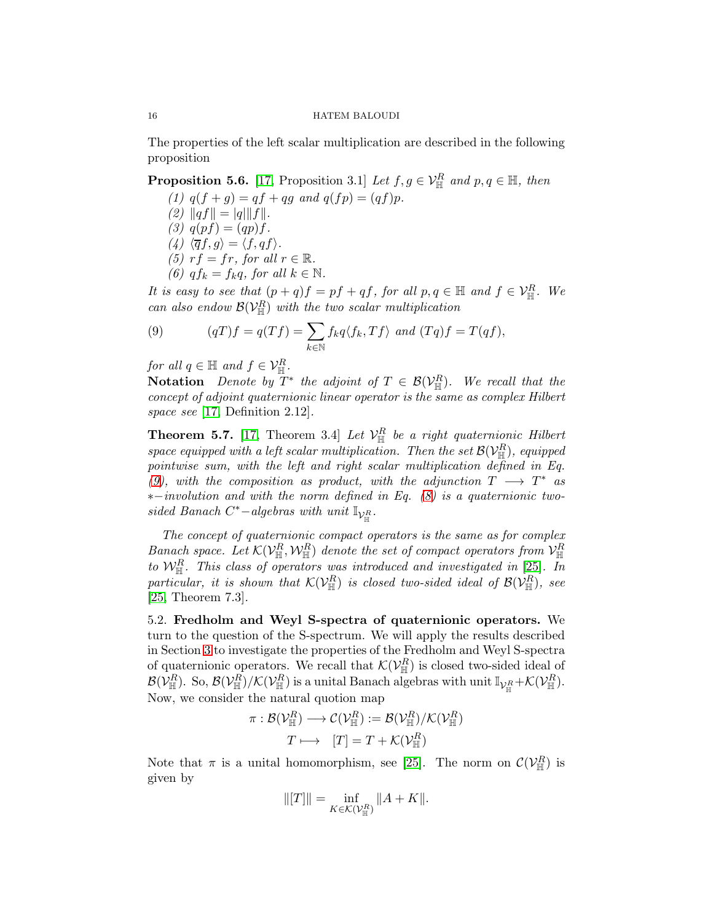The properties of the left scalar multiplication are described in the following proposition

**Proposition 5.6.** [\[17,](#page-20-14) Proposition 3.1] Let  $f, g \in V^R_{\mathbb{H}}$  and  $p, q \in \mathbb{H}$ , then

(1)  $q(f + g) = qf + qg$  and  $q(f p) = (qf)p$ . (2)  $||qf|| = |q| ||f||.$ (3)  $q(pf) = (qp)f$ . (4)  $\langle \overline{q}f, g \rangle = \langle f, qf \rangle$ . (5)  $rf = fr$ , for all  $r \in \mathbb{R}$ . (6)  $q f_k = f_k q$ , for all  $k \in \mathbb{N}$ .

It is easy to see that  $(p+q)f = pf + qf$ , for all  $p, q \in \mathbb{H}$  and  $f \in \mathcal{V}_{\mathbb{H}}^R$ . We can also endow  $\mathcal{B}(\mathcal{V}_{\mathbb{H}}^R)$  with the two scalar multiplication

<span id="page-15-1"></span>(9) 
$$
(qT)f = q(Tf) = \sum_{k \in \mathbb{N}} f_k q \langle f_k, Tf \rangle \text{ and } (Tq)f = T(qf),
$$

for all  $q \in \mathbb{H}$  and  $f \in \mathcal{V}_{\mathbb{H}}^R$ .

Notation Denote by  $T^*$  the adjoint of  $T \in \mathcal{B}(\mathcal{V}_{\mathbb{H}}^R)$ . We recall that the concept of adjoint quaternionic linear operator is the same as complex Hilbert space see [\[17,](#page-20-14) Definition 2.12].

**Theorem 5.7.** [\[17,](#page-20-14) Theorem 3.4] Let  $\mathcal{V}_{\mathbb{H}}^R$  be a right quaternionic Hilbert space equipped with a left scalar multiplication. Then the set  $\mathcal{B}(\mathcal{V}_{\mathbb{H}}^R)$ , equipped pointwise sum, with the left and right scalar multiplication defined in Eq. [\(9\)](#page-15-1), with the composition as product, with the adjunction  $T \longrightarrow T^*$  as ∗−involution and with the norm defined in Eq. [\(8\)](#page-14-0) is a quaternionic twosided Banach C<sup>\*</sup>-algebras with unit  $\mathbb{I}_{V_{\mathbb{H}}^R}$ .

The concept of quaternionic compact operators is the same as for complex Banach space. Let  $\mathcal{K}(\mathcal{V}_{\mathbb{H}}^R, \mathcal{W}_{\mathbb{H}}^R)$  denote the set of compact operators from  $\mathcal{V}_{\mathbb{H}}^R$ to  $\mathcal{W}_{\mathbb{H}}^R$ . This class of operators was introduced and investigated in [\[25\]](#page-20-13). In particular, it is shown that  $\mathcal{K}(\mathcal{V}_{\mathbb{H}}^R)$  is closed two-sided ideal of  $\mathcal{B}(\mathcal{V}_{\mathbb{H}}^R)$ , see [\[25,](#page-20-13) Theorem 7.3].

<span id="page-15-0"></span>5.2. Fredholm and Weyl S-spectra of quaternionic operators. We turn to the question of the S-spectrum. We will apply the results described in Section [3](#page-7-0) to investigate the properties of the Fredholm and Weyl S-spectra of quaternionic operators. We recall that  $\mathcal{K}(\mathcal{V}_{\mathbb{H}}^R)$  is closed two-sided ideal of  $\mathcal{B}(\mathcal{V}^R_\mathbb{H})$ . So,  $\mathcal{B}(\mathcal{V}^R_\mathbb{H})/\mathcal{K}(\mathcal{V}^R_\mathbb{H})$  is a unital Banach algebras with unit  $\mathbb{I}_{\mathcal{V}^R_\mathbb{H}}+\mathcal{K}(\mathcal{V}^R_\mathbb{H})$ . Now, we consider the natural quotion map

$$
\pi: \mathcal{B}(\mathcal{V}_{\mathbb{H}}^R) \longrightarrow \mathcal{C}(\mathcal{V}_{\mathbb{H}}^R) := \mathcal{B}(\mathcal{V}_{\mathbb{H}}^R)/\mathcal{K}(\mathcal{V}_{\mathbb{H}}^R)
$$

$$
T \longmapsto [T] = T + \mathcal{K}(\mathcal{V}_{\mathbb{H}}^R)
$$

Note that  $\pi$  is a unital homomorphism, see [\[25\]](#page-20-13). The norm on  $\mathcal{C}(\mathcal{V}_{\mathbb{H}}^R)$  is given by

$$
\|[T]\|=\inf_{K\in \mathcal{K}(\mathcal{V}^R_{\mathbb{H}})} \|A+K\|.
$$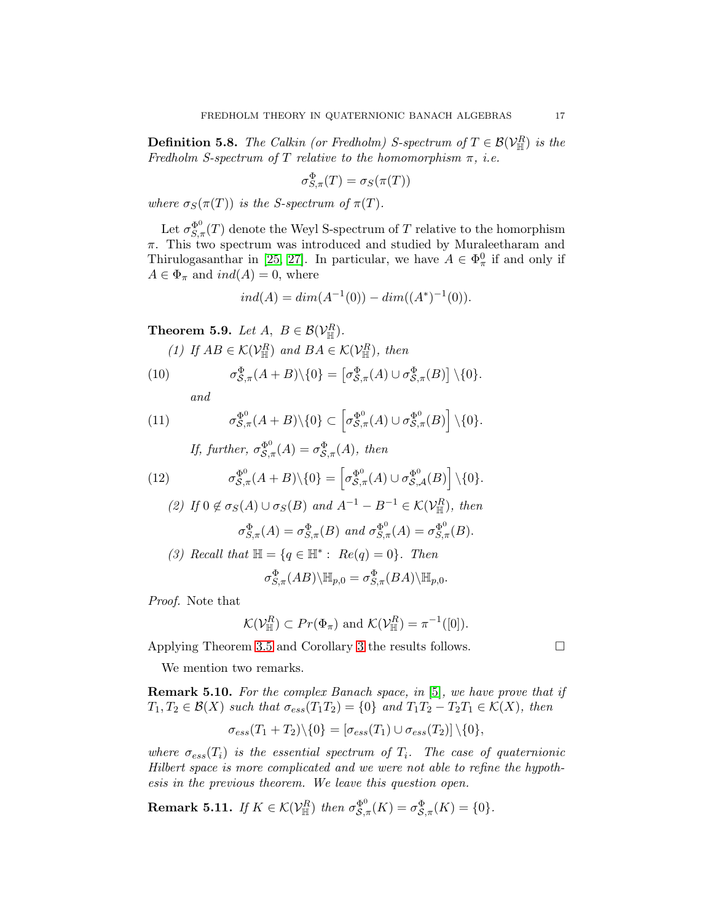**Definition 5.8.** The Calkin (or Fredholm) S-spectrum of  $T \in \mathcal{B}(\mathcal{V}_{\mathbb{H}}^R)$  is the Fredholm S-spectrum of T relative to the homomorphism  $\pi$ , *i.e.* 

$$
\sigma_{S,\pi}^{\Phi}(T) = \sigma_S(\pi(T))
$$

where  $\sigma_S(\pi(T))$  is the S-spectrum of  $\pi(T)$ .

Let  $\sigma_{S,\pi}^{\Phi^0}(T)$  denote the Weyl S-spectrum of T relative to the homorphism  $\pi$ . This two spectrum was introduced and studied by Muraleetharam and Thirulogasanthar in [\[25,](#page-20-13) [27\]](#page-21-4). In particular, we have  $A \in \Phi_{\pi}^{0}$  if and only if  $A \in \Phi_{\pi}$  and  $ind(A) = 0$ , where

$$
ind(A) = dim(A^{-1}(0)) - dim((A^*)^{-1}(0)).
$$

<span id="page-16-0"></span>**Theorem 5.9.** Let  $A, B \in \mathcal{B}(\mathcal{V}_{\mathbb{H}}^R)$ .

(1) If  $AB \in \mathcal{K}(\mathcal{V}_{\mathbb{H}}^R)$  and  $BA \in \mathcal{K}(\mathcal{V}_{\mathbb{H}}^R)$ , then

(10) 
$$
\sigma_{\mathcal{S},\pi}^{\Phi}(A+B)\backslash\{0\} = [\sigma_{\mathcal{S},\pi}^{\Phi}(A)\cup\sigma_{\mathcal{S},\pi}^{\Phi}(B)]\backslash\{0\}.
$$

and

(11) 
$$
\sigma_{\mathcal{S},\pi}^{\Phi^0}(A+B)\backslash\{0\} \subset \left[\sigma_{\mathcal{S},\pi}^{\Phi^0}(A) \cup \sigma_{\mathcal{S},\pi}^{\Phi^0}(B)\right] \backslash\{0\}.
$$

If, further,  $\sigma_{\mathcal{S},\pi}^{\Phi^0}(A) = \sigma_{\mathcal{S},\pi}^{\Phi}(A)$ , then

(12) 
$$
\sigma_{\mathcal{S},\pi}^{\Phi^0}(A+B)\backslash\{0\} = \left[\sigma_{\mathcal{S},\pi}^{\Phi^0}(A)\cup\sigma_{\mathcal{S},\mathcal{A}}^{\Phi^0}(B)\right]\backslash\{0\}.
$$

(2) If 
$$
0 \notin \sigma_S(A) \cup \sigma_S(B)
$$
 and  $A^{-1} - B^{-1} \in \mathcal{K}(\mathcal{V}_{\mathbb{H}}^R)$ , then  
\n
$$
\sigma_{S,\pi}^{\Phi}(A) = \sigma_{S,\pi}^{\Phi}(B)
$$
 and  $\sigma_{S,\pi}^{\Phi^0}(A) = \sigma_{S,\pi}^{\Phi^0}(B)$ .

(3) Recall that 
$$
\mathbb{H} = \{q \in \mathbb{H}^* : Re(q) = 0\}
$$
. Then

$$
\sigma_{S,\pi}^{\Phi}(AB)\backslash \mathbb{H}_{p,0} = \sigma_{S,\pi}^{\Phi}(BA)\backslash \mathbb{H}_{p,0}.
$$

Proof. Note that

$$
\mathcal{K}(\mathcal{V}_{\mathbb{H}}^R) \subset Pr(\Phi_{\pi})
$$
 and  $\mathcal{K}(\mathcal{V}_{\mathbb{H}}^R) = \pi^{-1}([0]).$ 

Applying Theorem [3.5](#page-8-0) and Corollary [3](#page-10-1) the results follows.

We mention two remarks.

Remark 5.10. For the complex Banach space, in [\[5\]](#page-20-1), we have prove that if  $T_1, T_2 \in \mathcal{B}(X)$  such that  $\sigma_{ess}(T_1T_2) = \{0\}$  and  $T_1T_2 - T_2T_1 \in \mathcal{K}(X)$ , then

$$
\sigma_{ess}(T_1+T_2)\setminus\{0\} = [\sigma_{ess}(T_1) \cup \sigma_{ess}(T_2)]\setminus\{0\},\
$$

where  $\sigma_{ess}(T_i)$  is the essential spectrum of  $T_i$ . The case of quaternionic Hilbert space is more complicated and we were not able to refine the hypothesis in the previous theorem. We leave this question open.

**Remark 5.11.** If  $K \in \mathcal{K}(\mathcal{V}_{\mathbb{H}}^R)$  then  $\sigma_{\mathcal{S},\pi}^{\Phi^0}(K) = \sigma_{\mathcal{S},\pi}^{\Phi}(K) = \{0\}.$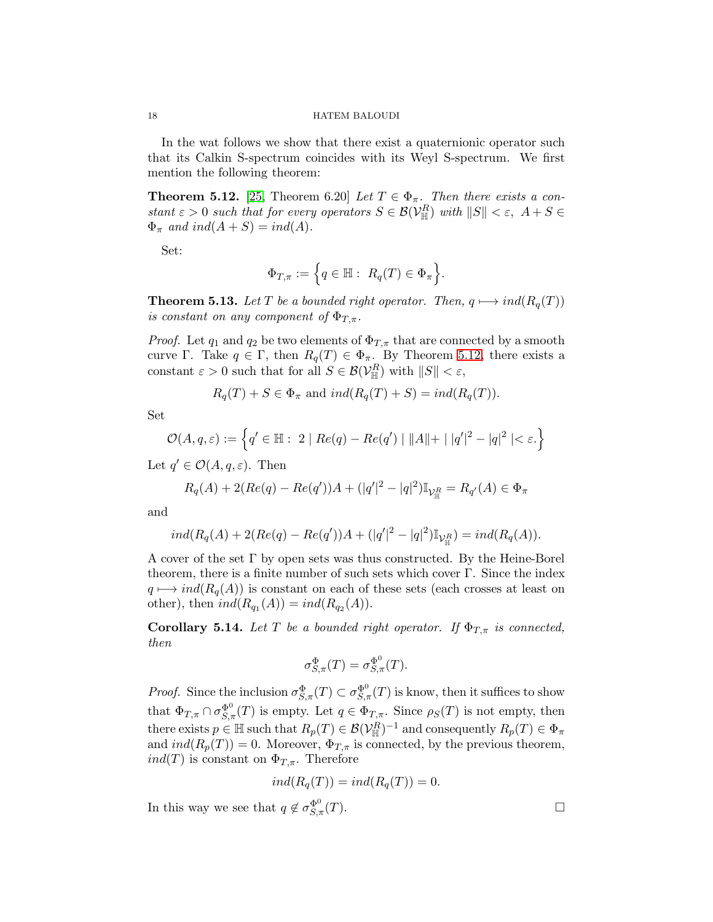In the wat follows we show that there exist a quaternionic operator such that its Calkin S-spectrum coincides with its Weyl S-spectrum. We first mention the following theorem:

<span id="page-17-0"></span>**Theorem 5.12.** [\[25,](#page-20-13) Theorem 6.20] Let  $T \in \Phi_{\pi}$ . Then there exists a constant  $\varepsilon > 0$  such that for every operators  $S \in \mathcal{B}(\mathcal{V}_{\mathbb{H}}^R)$  with  $||S|| < \varepsilon$ ,  $A + S \in$  $\Phi_{\pi}$  and ind( $A + S$ ) = ind(A).

Set:

$$
\Phi_{T,\pi} := \Big\{ q \in \mathbb{H} : R_q(T) \in \Phi_\pi \Big\}.
$$

<span id="page-17-1"></span>**Theorem 5.13.** Let T be a bounded right operator. Then,  $q \mapsto ind(R_q(T))$ is constant on any component of  $\Phi_{T,\pi}$ .

*Proof.* Let  $q_1$  and  $q_2$  be two elements of  $\Phi_{T,\pi}$  that are connected by a smooth curve Γ. Take  $q \in \Gamma$ , then  $R_q(T) \in \Phi_{\pi}$ . By Theorem [5.12,](#page-17-0) there exists a constant  $\varepsilon > 0$  such that for all  $S \in \mathcal{B}(\mathcal{V}_{\mathbb{H}}^R)$  with  $||S|| < \varepsilon$ ,

$$
R_q(T) + S \in \Phi_\pi \text{ and } ind(R_q(T) + S) = ind(R_q(T)).
$$

Set

$$
\mathcal{O}(A, q, \varepsilon) := \left\{ q' \in \mathbb{H} : \ 2 \mid Re(q) - Re(q') \mid ||A|| + | |q'|^2 - |q|^2 \mid < \varepsilon. \right\}
$$

Let  $q' \in \mathcal{O}(A, q, \varepsilon)$ . Then

$$
R_q(A) + 2(Re(q) - Re(q'))A + (|q'|^2 - |q|^2)\mathbb{I}_{\mathcal{V}_{\mathbb{H}}^R} = R_{q'}(A) \in \Phi_{\pi}
$$

and

$$
ind(R_q(A) + 2(Re(q) - Re(q'))A + (|q'|^2 - |q|^2)\mathbb{I}_{\mathcal{V}_{\mathbb{H}}^R}) = ind(R_q(A)).
$$

A cover of the set Γ by open sets was thus constructed. By the Heine-Borel theorem, there is a finite number of such sets which cover Γ. Since the index  $q \mapsto ind(R_q(A))$  is constant on each of these sets (each crosses at least on other), then  $ind(R_{q_1}(A)) = ind(R_{q_2}(A)).$ 

<span id="page-17-2"></span>**Corollary 5.14.** Let T be a bounded right operator. If  $\Phi_{T,\pi}$  is connected, then

$$
\sigma_{S,\pi}^{\Phi}(T) = \sigma_{S,\pi}^{\Phi^0}(T).
$$

*Proof.* Since the inclusion  $\sigma_{S,\pi}^{\Phi}(T) \subset \sigma_{S,\pi}^{\Phi^0}(T)$  is know, then it suffices to show that  $\Phi_{T,\pi} \cap \sigma_{S,\pi}^{\Phi^0}(T)$  is empty. Let  $q \in \Phi_{T,\pi}$ . Since  $\rho_S(T)$  is not empty, then there exists  $p \in \mathbb{H}$  such that  $R_p(T) \in \mathcal{B}(V^R_{\mathbb{H}})^{-1}$  and consequently  $R_p(T) \in \Phi_{\pi}$ and  $ind(R_p(T)) = 0$ . Moreover,  $\Phi_{T,\pi}$  is connected, by the previous theorem,  $ind(T)$  is constant on  $\Phi_{T,\pi}$ . Therefore

$$
ind(R_q(T)) = ind(R_q(T)) = 0.
$$

In this way we see that  $q \notin \sigma_{S,\pi}^{\Phi^0}(T)$ .

$$
^{18}
$$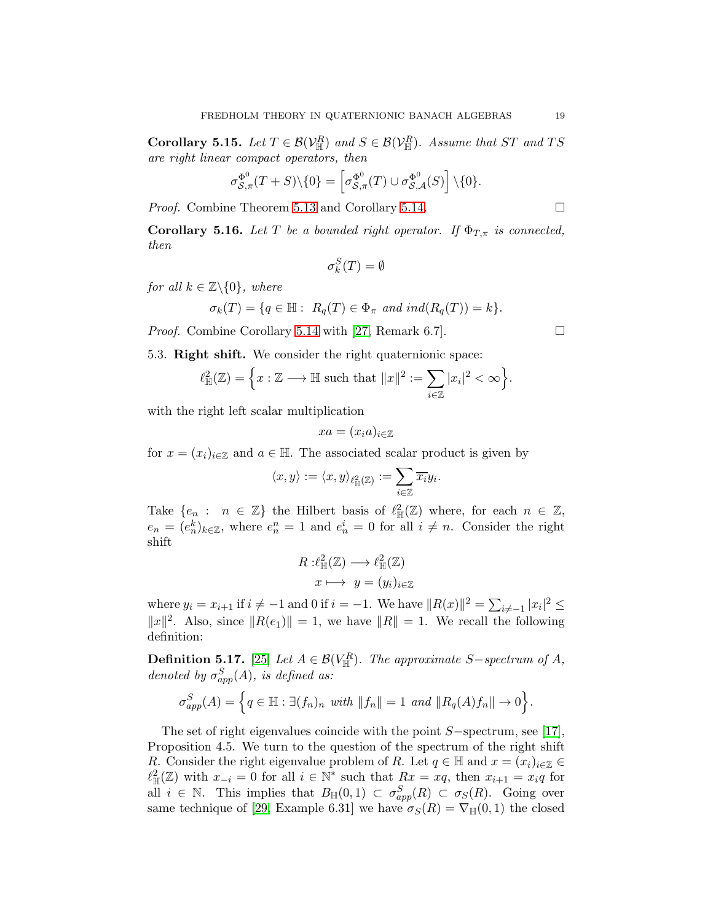**Corollary 5.15.** Let  $T \in \mathcal{B}(\mathcal{V}_{\mathbb{H}}^R)$  and  $S \in \mathcal{B}(\mathcal{V}_{\mathbb{H}}^R)$ . Assume that ST and TS are right linear compact operators, then

$$
\sigma_{\mathcal{S},\pi}^{\Phi^0}(T+S)\backslash\{0\}=\left[\sigma_{\mathcal{S},\pi}^{\Phi^0}(T)\cup\sigma_{\mathcal{S},\mathcal{A}}^{\Phi^0}(S)\right]\backslash\{0\}.
$$

*Proof.* Combine Theorem [5.13](#page-17-1) and Corollary [5.14.](#page-17-2) □

**Corollary 5.16.** Let T be a bounded right operator. If  $\Phi_{T,\pi}$  is connected, then

$$
\sigma_k^S(T) = \emptyset
$$

for all  $k \in \mathbb{Z} \backslash \{0\}$ , where

$$
\sigma_k(T) = \{ q \in \mathbb{H} : R_q(T) \in \Phi_\pi \text{ and } ind(R_q(T)) = k \}.
$$

<span id="page-18-0"></span>*Proof.* Combine Corollary [5.14](#page-17-2) with [\[27,](#page-21-4) Remark 6.7].

5.3. Right shift. We consider the right quaternionic space:

$$
\ell^2_{\mathbb{H}}(\mathbb{Z}) = \left\{ x : \mathbb{Z} \longrightarrow \mathbb{H} \text{ such that } ||x||^2 := \sum_{i \in \mathbb{Z}} |x_i|^2 < \infty \right\}
$$

with the right left scalar multiplication

$$
xa=(x_ia)_{i\in\mathbb{Z}}
$$

for  $x = (x_i)_{i \in \mathbb{Z}}$  and  $a \in \mathbb{H}$ . The associated scalar product is given by

$$
\langle x,y\rangle:=\langle x,y\rangle_{\ell^2_{\mathbb{H}}(\mathbb{Z})}:=\sum_{i\in\mathbb{Z}}\overline{x_i}y_i.
$$

Take  $\{e_n : n \in \mathbb{Z}\}\$  the Hilbert basis of  $\ell^2_{\mathbb{H}}(\mathbb{Z})$  where, for each  $n \in \mathbb{Z}$ ,  $e_n = (e_n^k)_{k \in \mathbb{Z}}$ , where  $e_n^n = 1$  and  $e_n^i = 0$  for all  $i \neq n$ . Consider the right shift

$$
R: \ell^2_{\mathbb{H}}(\mathbb{Z}) \longrightarrow \ell^2_{\mathbb{H}}(\mathbb{Z})
$$

$$
x \longmapsto y = (y_i)_{i \in \mathbb{Z}}
$$

where  $y_i = x_{i+1}$  if  $i \neq -1$  and 0 if  $i = -1$ . We have  $||R(x)||^2 = \sum_{i \neq -1} |x_i|^2 \leq$  $||x||^2$ . Also, since  $||R(e_1)|| = 1$ , we have  $||R|| = 1$ . We recall the following definition:

**Definition 5.17.** [\[25\]](#page-20-13) Let  $A \in \mathcal{B}(V_{\mathbb{H}}^R)$ . The approximate S-spectrum of A, denoted by  $\sigma_{app}^S(A)$ , is defined as:

$$
\sigma_{app}^S(A) = \left\{ q \in \mathbb{H} : \exists (f_n)_n \text{ with } ||f_n|| = 1 \text{ and } ||R_q(A)f_n|| \to 0 \right\}.
$$

The set of right eigenvalues coincide with the point S−spectrum, see [\[17\]](#page-20-14), Proposition 4.5. We turn to the question of the spectrum of the right shift R. Consider the right eigenvalue problem of R. Let  $q \in \mathbb{H}$  and  $x = (x_i)_{i \in \mathbb{Z}} \in$  $\ell^2_{\mathbb{H}}(\mathbb{Z})$  with  $x_{-i} = 0$  for all  $i \in \mathbb{N}^*$  such that  $Rx = xq$ , then  $x_{i+1} = x_iq$  for all  $i \in \mathbb{N}$ . This implies that  $B_{\mathbb{H}}(0,1) \subset \sigma_{app}^S(R) \subset \sigma_S(R)$ . Going over same technique of [\[29,](#page-21-5) Example 6.31] we have  $\sigma_S(R) = \nabla_{\mathbb{H}}(0,1)$  the closed

.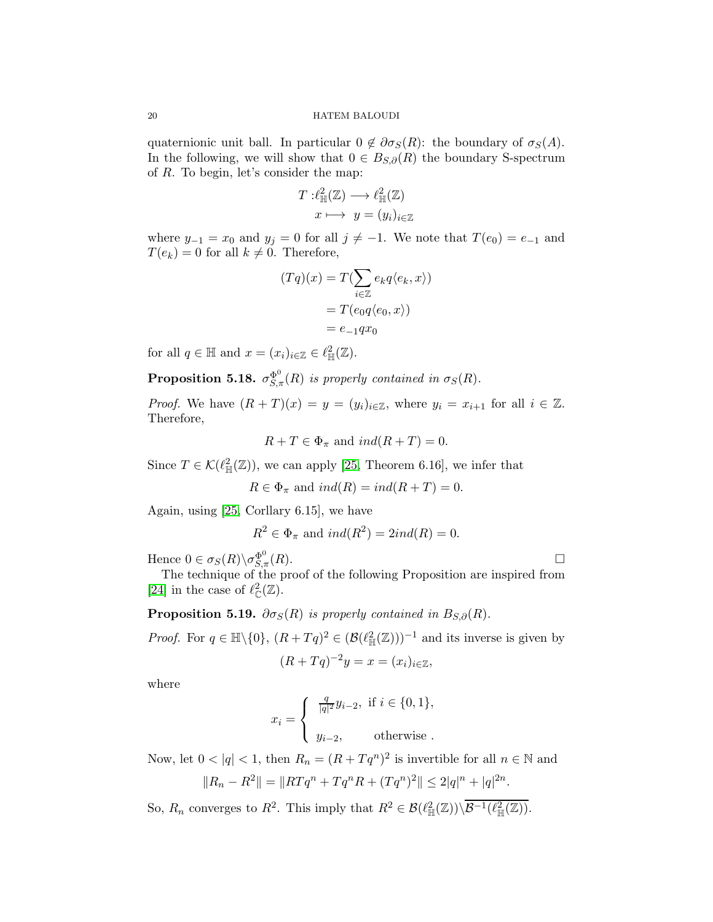quaternionic unit ball. In particular  $0 \notin \partial \sigma_S(R)$ : the boundary of  $\sigma_S(A)$ . In the following, we will show that  $0 \in B_{S,\partial}(R)$  the boundary S-spectrum of R. To begin, let's consider the map:

$$
T: \ell^2_{\mathbb{H}}(\mathbb{Z}) \longrightarrow \ell^2_{\mathbb{H}}(\mathbb{Z})
$$

$$
x \longmapsto y = (y_i)_{i \in \mathbb{Z}}
$$

where  $y_{-1} = x_0$  and  $y_j = 0$  for all  $j \neq -1$ . We note that  $T(e_0) = e_{-1}$  and  $T(e_k) = 0$  for all  $k \neq 0$ . Therefore,

$$
(Tq)(x) = T(\sum_{i \in \mathbb{Z}} e_k q \langle e_k, x \rangle)
$$

$$
= T(e_0 q \langle e_0, x \rangle)
$$

$$
= e_{-1}qx_0
$$

for all  $q \in \mathbb{H}$  and  $x = (x_i)_{i \in \mathbb{Z}} \in \ell^2_{\mathbb{H}}(\mathbb{Z})$ .

**Proposition 5.18.**  $\sigma_{S,\pi}^{\Phi^0}(R)$  is properly contained in  $\sigma_S(R)$ .

*Proof.* We have  $(R+T)(x) = y = (y_i)_{i \in \mathbb{Z}}$ , where  $y_i = x_{i+1}$  for all  $i \in \mathbb{Z}$ . Therefore,

$$
R + T \in \Phi_{\pi} \text{ and } ind(R + T) = 0.
$$

Since  $T \in \mathcal{K}(\ell^2_{\mathbb{H}}(\mathbb{Z}))$ , we can apply [\[25,](#page-20-13) Theorem 6.16], we infer that

$$
R \in \Phi_{\pi} \text{ and } ind(R) = ind(R+T) = 0.
$$

Again, using [\[25,](#page-20-13) Corllary 6.15], we have

$$
R^2 \in \Phi_{\pi}
$$
 and  $ind(R^2) = 2ind(R) = 0$ .

Hence  $0 \in \sigma_S(R) \backslash \sigma_{S,\tau}^{\Phi^0}$  $\mathcal{L}_{S,\pi}^{\Phi^0}(R).$ 

The technique of the proof of the following Proposition are inspired from [\[24\]](#page-20-25) in the case of  $\ell_{\mathbb{C}}^2(\mathbb{Z})$ .

**Proposition 5.19.**  $\partial \sigma_S(R)$  is properly contained in  $B_{S,\partial}(R)$ .

*Proof.* For  $q \in \mathbb{H} \setminus \{0\}$ ,  $(R + Tq)^2 \in (\mathcal{B}(\ell^2_{\mathbb{H}}(\mathbb{Z})))^{-1}$  and its inverse is given by  $(R+Tq)^{-2}y = x = (x_i)_{i \in \mathbb{Z}},$ 

where

$$
x_i = \begin{cases} \frac{q}{|q|^2} y_{i-2}, & \text{if } i \in \{0, 1\}, \\ y_{i-2}, & \text{otherwise}. \end{cases}
$$

Now, let  $0 < |q| < 1$ , then  $R_n = (R + Tq^n)^2$  is invertible for all  $n \in \mathbb{N}$  and

$$
||R_n - R^2|| = ||RTq^n + Tq^nR + (Tq^n)^2|| \le 2|q|^n + |q|^{2n}.
$$

So,  $R_n$  converges to  $R^2$ . This imply that  $R^2 \in \mathcal{B}(\ell^2_{\mathbb{H}}(\mathbb{Z}))\backslash \overline{\mathcal{B}^{-1}(\ell^2_{\mathbb{H}}(\mathbb{Z}))}$ .

$$
\Box
$$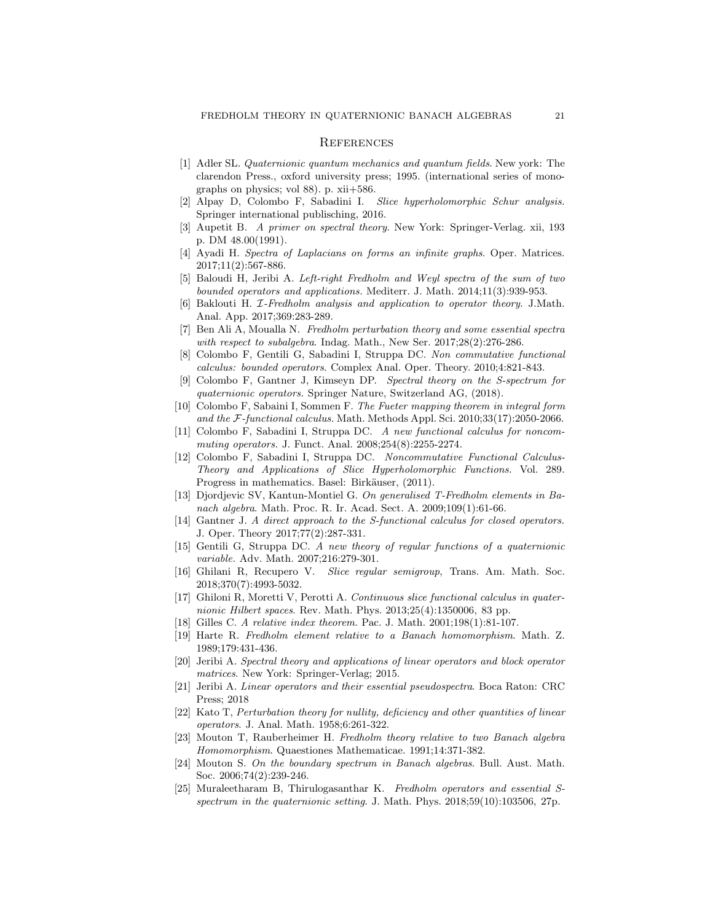#### <span id="page-20-0"></span>**REFERENCES**

- <span id="page-20-15"></span>[1] Adler SL. *Quaternionic quantum mechanics and quantum fields*. New york: The clarendon Press., oxford university press; 1995. (international series of monographs on physics; vol 88). p. xii+586.
- <span id="page-20-23"></span>[2] Alpay D, Colombo F, Sabadini I. *Slice hyperholomorphic Schur analysis.* Springer international publisching, 2016.
- <span id="page-20-24"></span>[3] Aupetit B. *A primer on spectral theory*. New York: Springer-Verlag. xii, 193 p. DM 48.00(1991).
- <span id="page-20-6"></span>[4] Ayadi H. *Spectra of Laplacians on forms an infinite graphs*. Oper. Matrices. 2017;11(2):567-886.
- <span id="page-20-1"></span>[5] Baloudi H, Jeribi A. *Left-right Fredholm and Weyl spectra of the sum of two bounded operators and applications.* Mediterr. J. Math. 2014;11(3):939-953.
- <span id="page-20-7"></span><span id="page-20-2"></span>[6] Baklouti H. I*-Fredholm analysis and application to operator theory*. J.Math. Anal. App. 2017;369:283-289.
- [7] Ben Ali A, Moualla N. *Fredholm perturbation theory and some essential spectra with respect to subalgebra*. Indag. Math., New Ser. 2017;28(2):276-286.
- <span id="page-20-11"></span>[8] Colombo F, Gentili G, Sabadini I, Struppa DC. *Non commutative functional calculus: bounded operators*. Complex Anal. Oper. Theory. 2010;4:821-843.
- <span id="page-20-12"></span>[9] Colombo F, Gantner J, Kimseyn DP. *Spectral theory on the S-spectrum for quaternionic operators.* Springer Nature, Switzerland AG, (2018).
- <span id="page-20-18"></span>[10] Colombo F, Sabaini I, Sommen F. *The Fueter mapping theorem in integral form and the* F*-functional calculus.* Math. Methods Appl. Sci. 2010;33(17):2050-2066.
- <span id="page-20-19"></span>[11] Colombo F, Sabadini I, Struppa DC. *A new functional calculus for noncommuting operators.* J. Funct. Anal. 2008;254(8):2255-2274.
- <span id="page-20-16"></span>[12] Colombo F, Sabadini I, Struppa DC. *Noncommutative Functional Calculus-Theory and Applications of Slice Hyperholomorphic Functions.* Vol. 289. Progress in mathematics. Basel: Birkäuser, (2011).
- <span id="page-20-10"></span>[13] Djordjevic SV, Kantun-Montiel G. *On generalised T-Fredholm elements in Banach algebra*. Math. Proc. R. Ir. Acad. Sect. A. 2009;109(1):61-66.
- <span id="page-20-17"></span>[14] Gantner J. *A direct approach to the S-functional calculus for closed operators.* J. Oper. Theory 2017;77(2):287-331.
- <span id="page-20-21"></span><span id="page-20-20"></span>[15] Gentili G, Struppa DC. *A new theory of regular functions of a quaternionic variable.* Adv. Math. 2007;216:279-301.
- [16] Ghilani R, Recupero V. *Slice regular semigroup*, Trans. Am. Math. Soc. 2018;370(7):4993-5032.
- <span id="page-20-14"></span>[17] Ghiloni R, Moretti V, Perotti A. *Continuous slice functional calculus in quaternionic Hilbert spaces*. Rev. Math. Phys. 2013;25(4):1350006, 83 pp.
- <span id="page-20-5"></span><span id="page-20-3"></span>[18] Gilles C. *A relative index theorem*. Pac. J. Math. 2001;198(1):81-107.
- [19] Harte R. *Fredholm element relative to a Banach homomorphism*. Math. Z. 1989;179:431-436.
- <span id="page-20-4"></span>[20] Jeribi A. *Spectral theory and applications of linear operators and block operator matrices*. New York: Springer-Verlag; 2015.
- <span id="page-20-8"></span>[21] Jeribi A. *Linear operators and their essential pseudospectra*. Boca Raton: CRC Press; 2018
- <span id="page-20-9"></span>[22] Kato T, *Perturbation theory for nullity, deficiency and other quantities of linear operators*. J. Anal. Math. 1958;6:261-322.
- <span id="page-20-22"></span>[23] Mouton T, Rauberheimer H. *Fredholm theory relative to two Banach algebra Homomorphism*. Quaestiones Mathematicae. 1991;14:371-382.
- <span id="page-20-25"></span>[24] Mouton S. *On the boundary spectrum in Banach algebras*. Bull. Aust. Math. Soc. 2006;74(2):239-246.
- <span id="page-20-13"></span>[25] Muraleetharam B, Thirulogasanthar K. *Fredholm operators and essential Sspectrum in the quaternionic setting*. J. Math. Phys. 2018;59(10):103506, 27p.